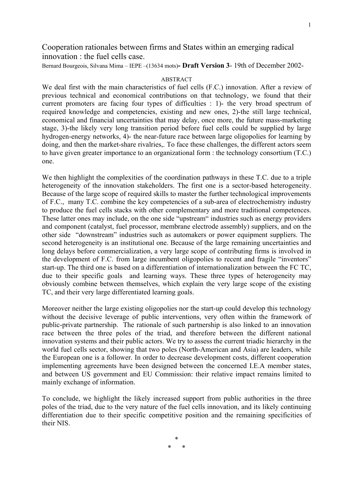Cooperation rationales between firms and States within an emerging radical innovation : the fuel cells case.

Bernard Bourgeois, Silvana Mima – IEPE –(13634 mots)**- Draft Version 3**- 19th of December 2002-

#### ABSTRACT

We deal first with the main characteristics of fuel cells (F.C.) innovation. After a review of previous technical and economical contributions on that technology, we found that their current promoters are facing four types of difficulties : 1)- the very broad spectrum of required knowledge and competencies, existing and new ones, 2)-the still large technical, economical and financial uncertainties that may delay, once more, the future mass-marketing stage, 3)-the likely very long transition period before fuel cells could be supplied by large hydrogen-energy networks, 4)- the near-future race between large oligopolies for learning by doing, and then the market-share rivalries,. To face these challenges, the different actors seem to have given greater importance to an organizational form : the technology consortium (T.C.) one.

We then highlight the complexities of the coordination pathways in these T.C. due to a triple heterogeneity of the innovation stakeholders. The first one is a sector-based heterogeneity. Because of the large scope of required skills to master the further technological improvements of F.C., many T.C. combine the key competencies of a sub-area of electrochemistry industry to produce the fuel cells stacks with other complementary and more traditional competences. These latter ones may include, on the one side "upstream" industries such as energy providers and component (catalyst, fuel processor, membrane electrode assembly) suppliers, and on the other side "downstream" industries such as automakers or power equipment suppliers. The second heterogeneity is an institutional one. Because of the large remaining uncertainties and long delays before commercialization, a very large scope of contributing firms is involved in the development of F.C. from large incumbent oligopolies to recent and fragile "inventors" start-up. The third one is based on a differentiation of internationalization between the FC TC, due to their specific goals and learning ways. These three types of heterogeneity may obviously combine between themselves, which explain the very large scope of the existing TC, and their very large differentiated learning goals.

Moreover neither the large existing oligopolies nor the start-up could develop this technology without the decisive leverage of public interventions, very often within the framework of public-private partnership. The rationale of such partnership is also linked to an innovation race between the three poles of the triad, and therefore between the different national innovation systems and their public actors. We try to assess the current triadic hierarchy in the world fuel cells sector, showing that two poles (North-American and Asia) are leaders, while the European one is a follower. In order to decrease development costs, different cooperation implementing agreements have been designed between the concerned I.E.A member states, and between US government and EU Commission: their relative impact remains limited to mainly exchange of information.

To conclude, we highlight the likely increased support from public authorities in the three poles of the triad, due to the very nature of the fuel cells innovation, and its likely continuing differentiation due to their specific competitive position and the remaining specificities of their NIS.

> \* \* \*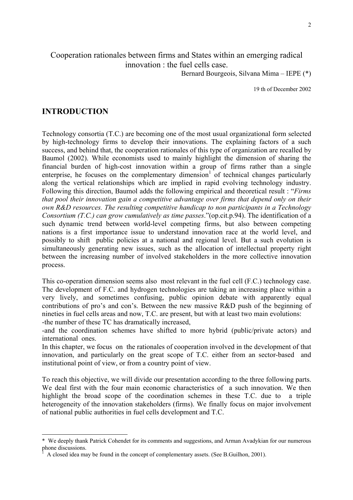Cooperation rationales between firms and States within an emerging radical innovation : the fuel cells case.

Bernard Bourgeois, Silvana Mima – IEPE (\*)

19 th of December 2002

## **INTRODUCTION**

-

Technology consortia (T.C.) are becoming one of the most usual organizational form selected by high-technology firms to develop their innovations. The explaining factors of a such success, and behind that, the cooperation rationales of this type of organization are recalled by Baumol (2002). While economists used to mainly highlight the dimension of sharing the financial burden of high-cost innovation within a group of firms rather than a single enterprise, he focuses on the complementary dimension<sup>[1](#page-1-0)</sup> of technical changes particularly along the vertical relationships which are implied in rapid evolving technology industry. Following this direction, Baumol adds the following empirical and theoretical result : "*Firms that pool their innovation gain a competitive advantage over firms that depend only on their own R&D resources. The resulting competitive handicap to non participants in a Technology Consortium (T.C.) can grow cumulatively as time passes*."(op.cit.p.94). The identification of a such dynamic trend between world-level competing firms, but also between competing nations is a first importance issue to understand innovation race at the world level, and possibly to shift public policies at a national and regional level. But a such evolution is simultaneously generating new issues, such as the allocation of intellectual property right between the increasing number of involved stakeholders in the more collective innovation process.

This co-operation dimension seems also most relevant in the fuel cell (F.C.) technology case. The development of F.C. and hydrogen technologies are taking an increasing place within a very lively, and sometimes confusing, public opinion debate with apparently equal contributions of pro's and con's. Between the new massive R&D push of the beginning of nineties in fuel cells areas and now, T.C. are present, but with at least two main evolutions: -the number of these TC has dramatically increased,

-and the coordination schemes have shifted to more hybrid (public/private actors) and international ones.

In this chapter, we focus on the rationales of cooperation involved in the development of that innovation, and particularly on the great scope of T.C. either from an sector-based and institutional point of view, or from a country point of view.

To reach this objective, we will divide our presentation according to the three following parts. We deal first with the four main economic characteristics of a such innovation. We then highlight the broad scope of the coordination schemes in these T.C. due to a triple heterogeneity of the innovation stakeholders (firms). We finally focus on major involvement of national public authorities in fuel cells development and T.C.

<span id="page-1-0"></span><sup>\*</sup> We deeply thank Patrick Cohendet for its comments and suggestions, and Arman Avadykian for our numerous phone discussions.

<sup>1</sup> A closed idea may be found in the concept of complementary assets. (See B.Guilhon, 2001).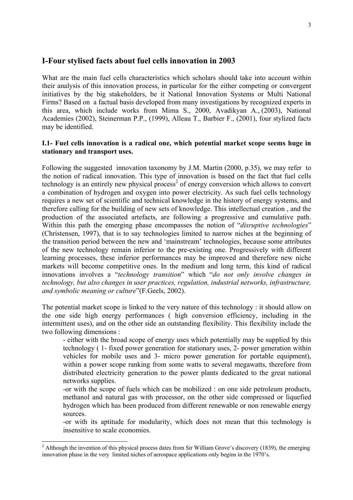## **I-Four stylised facts about fuel cells innovation in 2003**

What are the main fuel cells characteristics which scholars should take into account within their analysis of this innovation process, in particular for the either competing or convergent initiatives by the big stakeholders, be it National Innovation Systems or Multi National Firms? Based on a factual basis developed from many investigations by recognized experts in this area, which include works from Mima S., 2000, Avadikyan A., (2003), National Academies (2002), Steinerman P.P., (1999), Alleau T., Barbier F., (2001), four stylized facts may be identified.

## **I.1- Fuel cells innovation is a radical one, which potential market scope seems huge in stationary and transport uses.**

Following the suggested innovation taxonomy by J.M. Martin (2000, p.35), we may refer to the notion of radical innovation. This type of innovation is based on the fact that fuel cells technology is an entirely new physical process<sup>2</sup> of energy conversion which allows to convert a combination of hydrogen and oxygen into power electricity. As such fuel cells technology requires a new set of scientific and technical knowledge in the history of energy systems, and therefore calling for the building of new sets of knowledge. This intellectual creation , and the production of the associated artefacts, are following a progressive and cumulative path. Within this path the emerging phase encompasses the notion of "*disruptive technologies*" (Christensen, 1997), that is to say technologies limited to narrow niches at the beginning of the transition period between the new and 'mainstream' technologies, because some attributes of the new technology remain inferior to the pre-existing one. Progressively with different learning processes, these inferior performances may be improved and therefore new niche markets will become competitive ones. In the medium and long term, this kind of radical innovations involves a "*technology transition*" which "*do not only involve changes in technology, but also changes in user practices, regulation, industrial networks, infrastructure, and symbolic meaning or culture*"(F.Geels, 2002).

The potential market scope is linked to the very nature of this technology : it should allow on the one side high energy performances ( high conversion efficiency, including in the intermittent uses), and on the other side an outstanding flexibility. This flexibility include the two following dimensions :

- either with the broad scope of energy uses which potentially may be supplied by this technology ( 1- fixed power generation for stationary uses, 2- power generation within vehicles for mobile uses and 3- micro power generation for portable equipment), within a power scope ranking from some watts to several megawatts, therefore from distributed electricity generation to the power plants dedicated to the great national networks supplies.

-or with the scope of fuels which can be mobilized : on one side petroleum products, methanol and natural gas with processor, on the other side compressed or liquefied hydrogen which has been produced from different renewable or non renewable energy sources.

-or with its aptitude for modularity, which does not mean that this technology is insensitive to scale economies.

<span id="page-2-0"></span><sup>&</sup>lt;sup>2</sup> Although the invention of this physical process dates from Sir William Grove's discovery (1839), the emerging innovation phase in the very limited niches of aerospace applications only begins in the 1970's.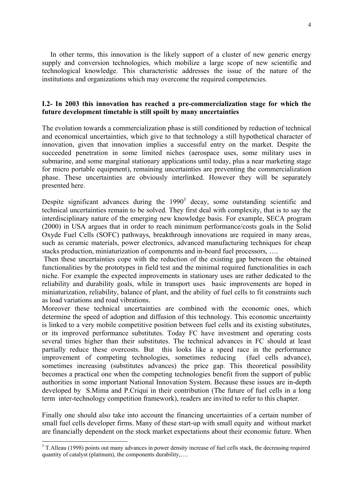In other terms, this innovation is the likely support of a cluster of new generic energy supply and conversion technologies, which mobilize a large scope of new scientific and technological knowledge. This characteristic addresses the issue of the nature of the institutions and organizations which may overcome the required competencies.

### **I.2- In 2003 this innovation has reached a pre-commercialization stage for which the future development timetable is still spoilt by many uncertainties**

The evolution towards a commercialization phase is still conditioned by reduction of technical and economical uncertainties, which give to that technology a still hypothetical character of innovation, given that innovation implies a successful entry on the market. Despite the succeeded penetration in some limited niches (aerospace uses, some military uses in submarine, and some marginal stationary applications until today, plus a near marketing stage for micro portable equipment), remaining uncertainties are preventing the commercialization phase. These uncertainties are obviously interlinked. However they will be separately presented here.

Despite significant advances during the  $1990<sup>3</sup>$  $1990<sup>3</sup>$  $1990<sup>3</sup>$  decay, some outstanding scientific and technical uncertainties remain to be solved. They first deal with complexity, that is to say the interdisciplinary nature of the emerging new knowledge basis. For example, SECA program (2000) in USA argues that in order to reach minimum performance/costs goals in the Solid Oxyde Fuel Cells (SOFC) pathways, breakthrough innovations are required in many areas, such as ceramic materials, power electronics, advanced manufacturing techniques for cheap stacks production, miniaturization of components and in-board fuel processors, ….

 Then these uncertainties cope with the reduction of the existing gap between the obtained functionalities by the prototypes in field test and the minimal required functionalities in each niche. For example the expected improvements in stationary uses are rather dedicated to the reliability and durability goals, while in transport uses basic improvements are hoped in miniaturization, reliability, balance of plant, and the ability of fuel cells to fit constraints such as load variations and road vibrations.

Moreover these technical uncertainties are combined with the economic ones, which determine the speed of adoption and diffusion of this technology. This economic uncertainty is linked to a very mobile competitive position between fuel cells and its existing substitutes, or its improved performance substitutes. Today FC have investment and operating costs several times higher than their substitutes. The technical advances in FC should at least partially reduce these overcosts. But this looks like a speed race in the performance improvement of competing technologies, sometimes reducing (fuel cells advance), sometimes increasing (substitutes advances) the price gap. This theoretical possibility becomes a practical one when the competing technologies benefit from the support of public authorities in some important National Innovation System. Because these issues are in-depth developed by S.Mima and P.Criqui in their contribution (The future of fuel cells in a long term inter-technology competition framework), readers are invited to refer to this chapter.

Finally one should also take into account the financing uncertainties of a certain number of small fuel cells developer firms. Many of these start-up with small equity and without market are financially dependent on the stock market expectations about their economic future. When

<span id="page-3-0"></span> $3$  T.Alleau (1998) points out many advances in power density increase of fuel cells stack, the decreasing required quantity of catalyst (platinum), the components durability,….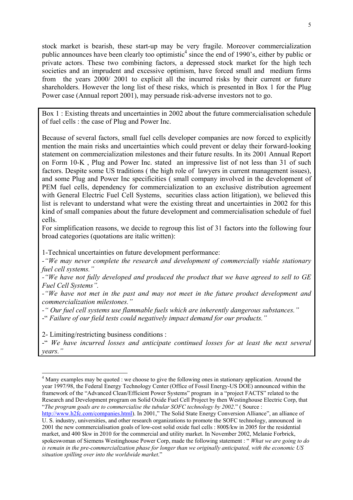stock market is bearish, these start-up may be very fragile. Moreover commercialization public announces have been clearly too optimistic<sup>4</sup> since the end of 1990's, either by public or private actors. These two combining factors, a depressed stock market for the high tech societies and an imprudent and excessive optimism, have forced small and medium firms from the years 2000/ 2001 to explicit all the incurred risks by their current or future shareholders. However the long list of these risks, which is presented in Box 1 for the Plug Power case (Annual report 2001), may persuade risk-adverse investors not to go.

Box 1 : Existing threats and uncertainties in 2002 about the future commercialisation schedule of fuel cells : the case of Plug and Power Inc.

Because of several factors, small fuel cells developer companies are now forced to explicitly mention the main risks and uncertainties which could prevent or delay their forward-looking statement on commercialization milestones and their future results. In its 2001 Annual Report on Form 10-K , Plug and Power Inc. stated an impressive list of not less than 31 of such factors. Despite some US traditions ( the high role of lawyers in current management issues), and some Plug and Power Inc specificities ( small company involved in the development of PEM fuel cells, dependency for commercialization to an exclusive distribution agreement with General Electric Fuel Cell Systems, securities class action litigation), we believed this list is relevant to understand what were the existing threat and uncertainties in 2002 for this kind of small companies about the future development and commercialisation schedule of fuel cells.

For simplification reasons, we decide to regroup this list of 31 factors into the following four broad categories (quotations are italic written):

1-Technical uncertainties on future development performance:

*-"We may never complete the research and development of commercially viable stationary fuel cell systems."* 

*-"We have not fully developed and produced the product that we have agreed to sell to GE Fuel Cell Systems".* 

*-"We have not met in the past and may not meet in the future product development and commercialization milestones."* 

*-" Our fuel cell systems use flammable fuels which are inherently dangerous substances."* 

-" *Failure of our field tests could negatively impact demand for our products."* 

2- Limiting/restricting business conditions :

-

-" *We have incurred losses and anticipate continued losses for at least the next several years."* 

<span id="page-4-0"></span><sup>&</sup>lt;sup>4</sup> Many examples may be quoted : we choose to give the following ones in stationary application. Around the year 1997/98, the Federal Energy Technology Center (Office of Fossil Energy-US DOE) announced within the framework of the "Advanced Clean/Efficient Power Systems" program in a "project FACTS" related to the Research and Development program on Solid Oxide Fuel Cell Project by then Westinghouse Electric Corp, that "*The program goals are to commercialise the tubular SOFC technology by 2002*." ( Source :

[http://www.h2fc.com/companies.html\)](http://www.h2fc.com/companies.html). In 2001," The Solid State Energy Conversion Alliance", an alliance of U. S. industry, universities, and other research organizations to promote the SOFC technology, announced in 2001 the new commercialisation goals of low-cost solid oxide fuel cells : 800\$/kw in 2005 for the residential market, and 400 \$kw in 2010 for the commercial and utility market. In November 2002, Melanie Forbrick, spokeswoman of Siemens Westinghouse Power Corp, made the following statement : " *What we are going to do is remain in the pre-commercialization phase for longer than we originally anticipated, with the economic US situation spilling over into the worldwide market*."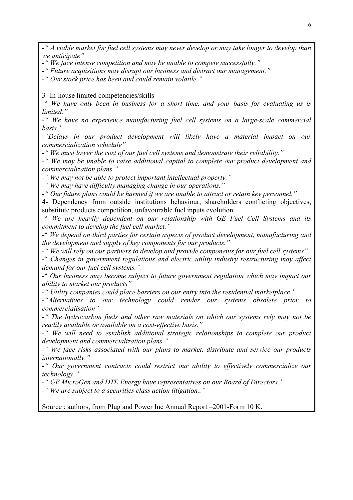*-" A viable market for fuel cell systems may never develop or may take longer to develop than we anticipate"* 

*-" We face intense competition and may be unable to compete successfully."* 

*-" Future acquisitions may disrupt our business and distract our management."* 

*-" Our stock price has been and could remain volatile."* 

3- In-house limited competencies/skills

-" *We have only been in business for a short time, and your basis for evaluating us is limited."* 

*-" We have no experience manufacturing fuel cell systems on a large-scale commercial basis."* 

*-"Delays in our product development will likely have a material impact on our commercialization schedule"* 

*-" We must lower the cost of our fuel cell systems and demonstrate their reliability."* 

*-" We may be unable to raise additional capital to complete our product development and commercialization plans."* 

*-" We may not be able to protect important intellectual property."* 

*-" We may have difficulty managing change in our operations."* 

*-" Our future plans could be harmed if we are unable to attract or retain key personnel."*

4- Dependency from outside institutions behaviour, shareholders conflicting objectives, substitute products competition, unfavourable fuel inputs evolution

-" *We are heavily dependent on our relationship with GE Fuel Cell Systems and its commitment to develop the fuel cell market."* 

-" *We depend on third parties for certain aspects of product development, manufacturing and the development and supply of key components for our products."* 

*-" We will rely on our partners to develop and provide components for our fuel cell systems".* 

-" *Changes in government regulations and electric utility industry restructuring may affect demand for our fuel cell systems."*

-" *Our business may become subject to future government regulation which may impact our ability to market our products"* 

*-" Utility companies could place barriers on our entry into the residential marketplace"* 

-*"Alternatives to our technology could render our systems obsolete prior to commercialisation"* 

*-" The hydrocarbon fuels and other raw materials on which our systems rely may not be readily available or available on a cost-effective basis."* 

*-" We will need to establish additional strategic relationships to complete our product development and commercialization plans."* 

*-" We face risks associated with our plans to market, distribute and service our products internationally."* 

*-" Our government contracts could restrict our ability to effectively commercialize our technology."* 

*-" GE MicroGen and DTE Energy have representatives on our Board of Directors."* 

*-" We are subject to a securities class action litigation.."* 

Source : authors, from Plug and Power Inc Annual Report –2001-Form 10 K.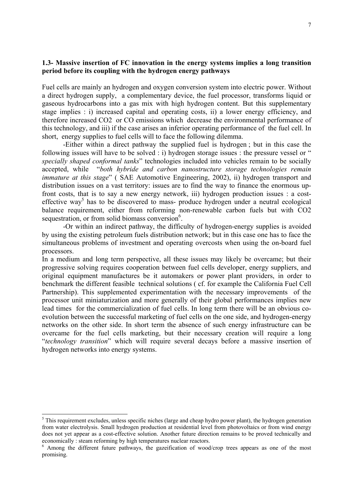## **1.3- Massive insertion of FC innovation in the energy systems implies a long transition period before its coupling with the hydrogen energy pathways**

Fuel cells are mainly an hydrogen and oxygen conversion system into electric power. Without a direct hydrogen supply, a complementary device, the fuel processor, transforms liquid or gaseous hydrocarbons into a gas mix with high hydrogen content. But this supplementary stage implies : i) increased capital and operating costs, ii) a lower energy efficiency, and therefore increased CO2 or CO emissions which decrease the environmental performance of this technology, and iii) if the case arises an inferior operating performance of the fuel cell. In short, energy supplies to fuel cells will to face the following dilemma.

 -Either within a direct pathway the supplied fuel is hydrogen ; but in this case the following issues will have to be solved : i) hydrogen storage issues : the pressure vessel or " *specially shaped conformal tanks*" technologies included into vehicles remain to be socially accepted, while "*both hybride and carbon nanostructure storage technologies remain immature at this stage*" (SAE Automotive Engineering, 2002), ii) hydrogen transport and distribution issues on a vast territory: issues are to find the way to finance the enormous upfront costs, that is to say a new energy network, iii) hydrogen production issues : a costeffective way<sup>5</sup> has to be discovered to mass- produce hydrogen under a neutral ecological balance requirement, either from reforming non-renewable carbon fuels but with CO2 sequestration, or from solid biomass conversion<sup>[6](#page-6-1)</sup>.

 -Or within an indirect pathway, the difficulty of hydrogen-energy supplies is avoided by using the existing petroleum fuels distribution network; but in this case one has to face the simultaneous problems of investment and operating overcosts when using the on-board fuel processors.

In a medium and long term perspective, all these issues may likely be overcame; but their progressive solving requires cooperation between fuel cells developer, energy suppliers, and original equipment manufactures be it automakers or power plant providers, in order to benchmark the different feasible technical solutions ( cf. for example the California Fuel Cell Partnership). This supplemented experimentation with the necessary improvements of the processor unit miniaturization and more generally of their global performances implies new lead times for the commercialization of fuel cells. In long term there will be an obvious coevolution between the successful marketing of fuel cells on the one side, and hydrogen-energy networks on the other side. In short term the absence of such energy infrastructure can be overcame for the fuel cells marketing, but their necessary creation will require a long "*technology transition*" which will require several decays before a massive insertion of hydrogen networks into energy systems.

<span id="page-6-0"></span><sup>&</sup>lt;sup>5</sup> This requirement excludes, unless specific niches (large and cheap hydro power plant), the hydrogen generation from water electrolysis. Small hydrogen production at residential level from photovoltaics or from wind energy does not yet appear as a cost-effective solution. Another future direction remains to be proved technically and economically : steam reforming by high temperatures nuclear reactors.

<span id="page-6-1"></span><sup>&</sup>lt;sup>6</sup> Among the different future pathways, the gazeification of wood/crop trees appears as one of the most promising.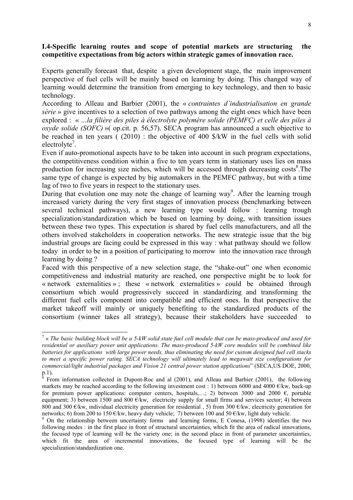## **I.4-Specific learning routes and scope of potential markets are structuring the competitive expectations from big actors within strategic games of innovation race.**

Experts generally forecast that, despite a given development stage, the main improvement perspective of fuel cells will be mainly based on learning by doing. This changed way of learning would determine the transition from emerging to key technology, and then to basic technology.

According to Alleau and Barbier (2001), the « *contraintes d'industrialisation en grande série* » give incentives to a selection of two pathways among the eight ones which have been explored : « *…la filière des piles à électrolyte polymère solide (PEMFC) et celle des piles à oxyde solide (SOFC)* »( op.cit. p. 56,57). SECA program has announced a such objective to be reached in ten years ( (2010) : the objective of 400 \$/kW in the fuel cells with solid electrolyte<sup>[7](#page-7-0)</sup>.

Even if auto-promotional aspects have to be taken into account in such program expectations, the competitiveness condition within a five to ten years term in stationary uses lies on mass production for increasing size niches, which will be accessed through decreasing costs ${}^{8}$  ${}^{8}$  ${}^{8}$ . The same type of change is expected by big automakers in the PEMFC pathway, but with a time lag of two to five years in respect to the stationary uses.

During that evolution one may note the change of learning way<sup>[9](#page-7-2)</sup>. After the learning trough increased variety during the very first stages of innovation process (benchmarking between several technical pathways), a new learning type would follow : learning trough specialization/standardization which be based on learning by doing, with transition issues between these two types. This expectation is shared by fuel cells manufacturers, and all the others involved stakeholders in cooperation networks. The new strategic issue that the big industrial groups are facing could be expressed in this way : what pathway should we follow today in order to be in a position of participating to morrow into the innovation race through learning by doing ?

Faced with this perspective of a new selection stage, the "shake-out" one when economic competitiveness and industrial maturity are reached, one perspective might be to look for « network externalities » ; these « network externalities » could be obtained through consortium which would progressively succeed in standardizing and transforming the different fuel cells component into compatible and efficient ones. In that perspective the market takeoff will mainly or uniquely benefiting to the standardized products of the consortium (winner takes all strategy), because their stakeholders have succeeded to

<span id="page-7-0"></span><sup>7</sup> « *The basic building block will be a 5-kW solid state fuel cell module that can be mass-produced and used for residential or auxiliary power unit applications. The mass-produced 5-kW core modules will be combined like batteries for applications with large power needs, thus eliminating the need for custom designed fuel cell stacks to meet a specific power rating. SECA technology will ultimately lead to megawatt size configurations for commercial/light industrial packages and Vision 21 central power station applications*" (SECA,US DOE, 2000, p.1).

<span id="page-7-1"></span> $\delta$  From information collected in Dupont-Roc and al (2001), and Alleau and Barbier (2001), the following markets may be reached according to the following investment cost : 1) between 6000 and 4000  $\epsilon$ /kw, back-up for premium power applications: computer centers, hospitals,...; 2) between 3000 and 2000  $\epsilon$ , portable equipment; 3) between 1500 and 800  $\epsilon/\epsilon$ w, electricity supply for small firms and services sector; 4) between 800 and 300 €/kw, individual electricity generation for residential , 5) from 300 €/kw, electricity generation for networks; 6) from 200 to 150  $\epsilon$ /kw, heavy duty vehicle; 7) between 100 and 50  $\epsilon$ /kw, light duty vehicle.

<span id="page-7-2"></span><sup>&</sup>lt;sup>9</sup> On the relationship between uncertainty forms and learning forms, E Conesa, (1998) identifies the two following modes : in the first place in front of structural uncertainties, which fit the area of radical innovations, the focused type of learning will be the variety one; in the second place in front of parameter uncertainties, which fit the area of incremental innovations, the focused type of learning will be the specialization/standardization one.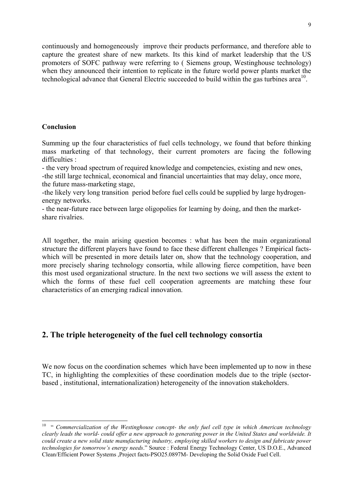continuously and homogeneously improve their products performance, and therefore able to capture the greatest share of new markets. Its this kind of market leadership that the US promoters of SOFC pathway were referring to ( Siemens group, Westinghouse technology) when they announced their intention to replicate in the future world power plants market the technological advance that General Electric succeeded to build within the gas turbines area<sup>10</sup>.

### **Conclusion**

-

Summing up the four characteristics of fuel cells technology, we found that before thinking mass marketing of that technology, their current promoters are facing the following difficulties :

- the very broad spectrum of required knowledge and competencies, existing and new ones,

-the still large technical, economical and financial uncertainties that may delay, once more, the future mass-marketing stage,

-the likely very long transition period before fuel cells could be supplied by large hydrogenenergy networks.

- the near-future race between large oligopolies for learning by doing, and then the marketshare rivalries.

All together, the main arising question becomes : what has been the main organizational structure the different players have found to face these different challenges ? Empirical factswhich will be presented in more details later on, show that the technology cooperation, and more precisely sharing technology consortia, while allowing fierce competition, have been this most used organizational structure. In the next two sections we will assess the extent to which the forms of these fuel cell cooperation agreements are matching these four characteristics of an emerging radical innovation.

# **2. The triple heterogeneity of the fuel cell technology consortia**

We now focus on the coordination schemes which have been implemented up to now in these TC, in highlighting the complexities of these coordination models due to the triple (sectorbased , institutional, internationalization) heterogeneity of the innovation stakeholders.

<span id="page-8-0"></span><sup>10 &</sup>quot; *Commercialization of the Westinghouse concept- the only fuel cell type in which American technology clearly leads the world- could offer a new approach to generating power in the United States and worldwide. It could create a new solid state manufacturing industry, employing skilled workers to design and fabricate power technologies for tomorrow's energy needs*." Source : Federal Energy Technology Center, US D.O.E., Advanced Clean/Efficient Power Systems ,Project facts-PSO25.0897M- Developing the Solid Oxide Fuel Cell.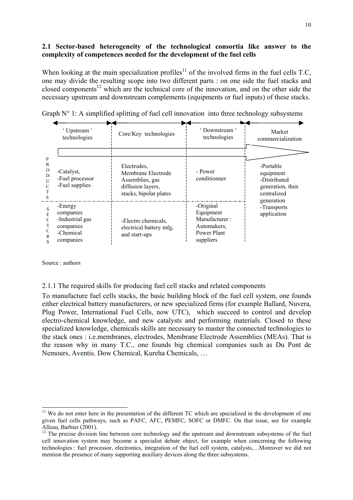## **2.1 Sector-based heterogeneity of the technological consortia like answer to the complexity of competences needed for the development of the fuel cells**

When looking at the main specialization profiles<sup>11</sup> of the involved firms in the fuel cells T.C, one may divide the resulting scope into two different parts : on one side the fuel stacks and closed components<sup>12</sup> which are the technical core of the innovation, and on the other side the necessary upstream and downstream complements (equipments or fuel inputs) of these stacks.

|                              | ' Upstream '<br>technologies                                                   | Core/Key technologies                                                                               | ' Downstream '<br>technologies                                                     | Market<br>commercialization                                                             |
|------------------------------|--------------------------------------------------------------------------------|-----------------------------------------------------------------------------------------------------|------------------------------------------------------------------------------------|-----------------------------------------------------------------------------------------|
| P<br>R<br>$\Omega$<br>D<br>U | -Catalyst,<br>-Fuel processor<br>-Fuel supplies                                | Electrodes,<br>Membrane Electrode<br>Assemblies, gas<br>diffusion layers,<br>stacks, bipolar plates | - Power<br>conditionner                                                            | -Portable<br>equipment<br>-Distributed<br>generation, then<br>centralized<br>generation |
| F                            | -Energy<br>companies<br>-Industrial gas<br>companies<br>-Chemical<br>companies | -Electro chemicals,<br>electrical battery mfg.<br>and start-ups                                     | -Original<br>Equipment<br>Manufacturer:<br>Automakers,<br>Power Plant<br>suppliers | -Transports<br>application                                                              |

|  |  |  |  | Graph $N^{\circ}$ 1: A simplified splitting of fuel cell innovation into three technology subsystems |  |  |  |
|--|--|--|--|------------------------------------------------------------------------------------------------------|--|--|--|
|  |  |  |  |                                                                                                      |  |  |  |
|  |  |  |  |                                                                                                      |  |  |  |
|  |  |  |  |                                                                                                      |  |  |  |

Source : authors

2.1.1 The required skills for producing fuel cell stacks and related components

To manufacture fuel cells stacks, the basic building block of the fuel cell system, one founds either electrical battery manufacturers, or new specialized firms (for example Ballard, Nuvera, Plug Power, International Fuel Cells, now UTC), which succeed to control and develop electro-chemical knowledge, and new catalysts and performing materials. Closed to these specialized knowledge, chemicals skills are necessary to master the connected technologies to the stack ones : i.e.membranes, electrodes, Membrane Electrode Assemblies (MEAs). That is the reason why in many T.C., one founds big chemical companies such as Du Pont de Nemours, Aventis, Dow Chemical, Kureha Chemicals, …

<span id="page-9-0"></span><sup>&</sup>lt;sup>11</sup> We do not enter here in the presentation of the different TC which are specialized in the development of one given fuel cells pathways, such as PAFC, AFC, PEMFC, SOFC or DMFC. On that issue, see for example Alleau, Barbier (2001).<br><sup>12</sup> The precise division line between core technology and the upstream and downstream subsystems of the fuel

<span id="page-9-1"></span>cell innovation system may become a specialist debate object, for example when concerning the following technologies : fuel processor, electronics, integration of the fuel cell system, catalysts,…Moreover we did not mention the presence of many supporting auxiliary devices along the three subsystems.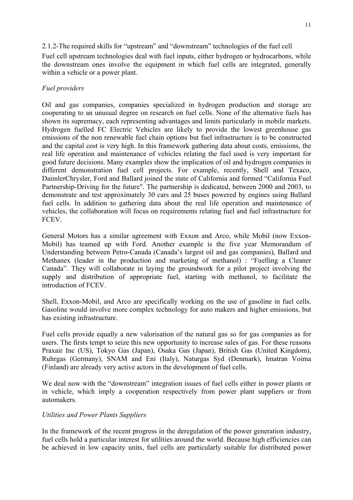## 2.1.2-The required skills for "upstream" and "downstream" technologies of the fuel cell

Fuel cell upstream technologies deal with fuel inputs, either hydrogen or hydrocarbons, while the downstream ones involve the equipment in which fuel cells are integrated, generally within a vehicle or a power plant.

## *Fuel providers*

Oil and gas companies, companies specialized in hydrogen production and storage are cooperating to an unusual degree on research on fuel cells. None of the alternative fuels has shown its supremacy, each representing advantages and limits particularly in mobile markets. Hydrogen fuelled FC Electric Vehicles are likely to provide the lowest greenhouse gas emissions of the non renewable fuel chain options but fuel infrastructure is to be constructed and the capital cost is very high. In this framework gathering data about costs, emissions, the real life operation and maintenance of vehicles relating the fuel used is very important for good future decisions. Many examples show the implication of oil and hydrogen companies in different demonstration fuel cell projects. For example, recently, Shell and Texaco, DaimlerChrysler, Ford and Ballard joined the state of California and formed "California Fuel Partnership-Driving for the future". The partnership is dedicated, between 2000 and 2003, to demonstrate and test approximately 30 cars and 25 buses powered by engines using Ballard fuel cells. In addition to gathering data about the real life operation and maintenance of vehicles, the collaboration will focus on requirements relating fuel and fuel infrastructure for FCEV.

General Motors has a similar agreement with Exxon and Arco, while Mobil (now Exxon-Mobil) has teamed up with Ford. Another example is the five year Memorandum of Understanding between Petro-Canada (Canada's largest oil and gas companies), Ballard and Methanex (leader in the production and marketing of methanol) : "Fuelling a Cleaner Canada". They will collaborate in laying the groundwork for a pilot project involving the supply and distribution of appropriate fuel, starting with methanol, to facilitate the introduction of FCEV.

Shell, Exxon-Mobil, and Arco are specifically working on the use of gasoline in fuel cells. Gasoline would involve more complex technology for auto makers and higher emissions, but has existing infrastructure.

Fuel cells provide equally a new valorisation of the natural gas so for gas companies as for users. The firsts tempt to seize this new opportunity to increase sales of gas. For these reasons Praxair Inc (US), Tokyo Gas (Japan), Osaka Gas (Japan), British Gas (United Kingdom), Ruhrgas (Germany), SNAM and Eni (Italy), Naturgas Syd (Denmark), Imatran Voima (Finland) are already very active actors in the development of fuel cells.

We deal now with the "downstream" integration issues of fuel cells either in power plants or in vehicle, which imply a cooperation respectively from power plant suppliers or from automakers.

### *Utilities and Power Plants Suppliers*

In the framework of the recent progress in the deregulation of the power generation industry, fuel cells hold a particular interest for utilities around the world. Because high efficiencies can be achieved in low capacity units, fuel cells are particularly suitable for distributed power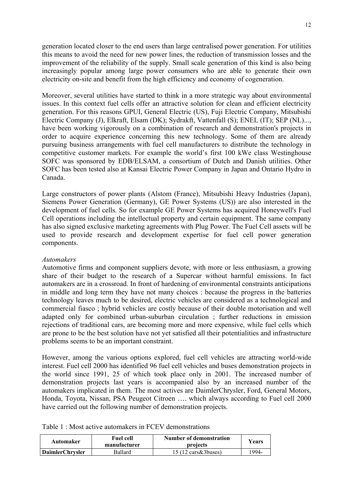12

generation located closer to the end users than large centralised power generation. For utilities this means to avoid the need for new power lines, the reduction of transmission losses and the improvement of the reliability of the supply. Small scale generation of this kind is also being increasingly popular among large power consumers who are able to generate their own electricity on-site and benefit from the high efficiency and economy of cogeneration.

Moreover, several utilities have started to think in a more strategic way about environmental issues. In this context fuel cells offer an attractive solution for clean and efficient electricity generation. For this reasons GPUI, General Electric (US), Fuji Electric Company, Mitsubishi Electric Company (J), Elkraft, Elsam (DK); Sydrakft, Vattenfall (S); ENEL (IT); SEP (NL)..., have been working vigorously on a combination of research and demonstration's projects in order to acquire experience concerning this new technology. Some of them are already pursuing business arrangements with fuel cell manufacturers to distribute the technology in competitive customer markets. For example the world's first 100 kWe class Westinghouse SOFC was sponsored by EDB/ELSAM, a consortium of Dutch and Danish utilities. Other SOFC has been tested also at Kansai Electric Power Company in Japan and Ontario Hydro in Canada.

Large constructors of power plants (Alstom (France), Mitsubishi Heavy Industries (Japan), Siemens Power Generation (Germany), GE Power Systems (US)) are also interested in the development of fuel cells. So for example GE Power Systems has acquired Honeywell's Fuel Cell operations including the intellectual property and certain equipment. The same company has also signed exclusive marketing agreements with Plug Power. The Fuel Cell assets will be used to provide research and development expertise for fuel cell power generation components.

## *Automakers*

Automotive firms and component suppliers devote, with more or less enthusiasm, a growing share of their budget to the research of a Supercar without harmful emissions. In fact automakers are in a crossroad. In front of hardening of environmental constraints anticipations in middle and long term they have not many choices : because the progress in the batteries technology leaves much to be desired, electric vehicles are considered as a technological and commercial fiasco ; hybrid vehicles are costly because of their double motorisation and well adapted only for combined urban-suburban circulation ; further reductions in emission rejections of traditional cars, are becoming more and more expensive, while fuel cells which are prone to be the best solution have not yet satisfied all their potentialities and infrastructure problems seems to be an important constraint.

However, among the various options explored, fuel cell vehicles are attracting world-wide interest. Fuel cell 2000 has identified 96 fuel cell vehicles and buses demonstration projects in the world since 1991, 25 of which took place only in 2001. The increased number of demonstration projects last years is accompanied also by an increased number of the automakers implicated in them. The most actives are DaimlerChrysler, Ford, General Motors, Honda, Toyota, Nissan, PSA Peugeot Citroen …. which always according to Fuel cell 2000 have carried out the following number of demonstration projects.

| Table 1: Most active automakers in FCEV demonstrations |  |
|--------------------------------------------------------|--|
|--------------------------------------------------------|--|

| Automaker              | <b>Fuel cell</b><br>manufacturer | <b>Number of demonstration</b><br>projects | Years |
|------------------------|----------------------------------|--------------------------------------------|-------|
| <b>DaimlerChrysler</b> | Ballard                          | $15(12 \text{ cars&3}$ 3buses)             | 1994- |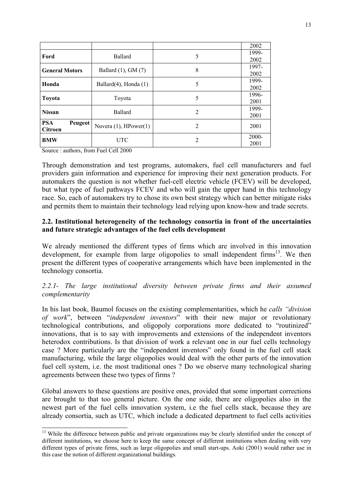|                                         |                             |   | 2002          |
|-----------------------------------------|-----------------------------|---|---------------|
| Ford                                    | Ballard                     | 5 | 1999-<br>2002 |
| <b>General Motors</b>                   | Ballard (1), GM (7)         | 8 | 1997-<br>2002 |
| Honda                                   | Ballard $(4)$ , Honda $(1)$ | 5 | 1999-<br>2002 |
| Toyota                                  | Toyota                      | 5 | 1996-<br>2001 |
| <b>Nissan</b>                           | Ballard                     | 2 | 1999-<br>2001 |
| <b>PSA</b><br>Peugeot<br><b>Citroen</b> | Nuvera $(1)$ , HPower $(1)$ | 2 | 2001          |
| <b>BMW</b>                              | <b>UTC</b>                  | 2 | 2000-<br>2001 |

Source : authors, from Fuel Cell 2000

-

Through demonstration and test programs, automakers, fuel cell manufacturers and fuel providers gain information and experience for improving their next generation products. For automakers the question is not whether fuel-cell electric vehicle (FCEV) will be developed, but what type of fuel pathways FCEV and who will gain the upper hand in this technology race. So, each of automakers try to chose its own best strategy which can better mitigate risks and permits them to maintain their technology lead relying upon know-how and trade secrets.

## **2.2. Institutional heterogeneity of the technology consortia in front of the uncertainties and future strategic advantages of the fuel cells development**

We already mentioned the different types of firms which are involved in this innovation development, for example from large oligopolies to small independent firms<sup>13</sup>. We then present the different types of cooperative arrangements which have been implemented in the technology consortia.

## *2.2.1- The large institutional diversity between private firms and their assumed complementarity*

In his last book, Baumol focuses on the existing complementarities, which he *calls "division of work*", between "*independent inventors*" with their new major or revolutionary technological contributions, and oligopoly corporations more dedicated to "routinized" innovations, that is to say with improvements and extensions of the independent inventors heterodox contributions. Is that division of work a relevant one in our fuel cells technology case ? More particularly are the "independent inventors" only found in the fuel cell stack manufacturing, while the large oligopolies would deal with the other parts of the innovation fuel cell system, i.e. the most traditional ones ? Do we observe many technological sharing agreements between these two types of firms ?

Global answers to these questions are positive ones, provided that some important corrections are brought to that too general picture. On the one side, there are oligopolies also in the newest part of the fuel cells innovation system, i.e the fuel cells stack, because they are already consortia, such as UTC, which include a dedicated department to fuel cells activities

<span id="page-12-0"></span><sup>&</sup>lt;sup>13</sup> While the difference between public and private organizations may be clearly identified under the concept of different institutions, we choose here to keep the same concept of different institutions when dealing with very different types of private firms, such as large oligopolies and small start-ups. Aoki (2001) would rather use in this case the notion of different organizational buildings.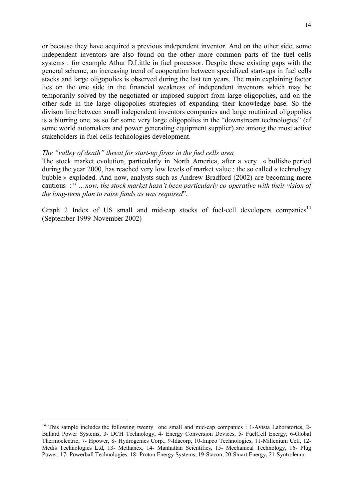or because they have acquired a previous independent inventor. And on the other side, some independent inventors are also found on the other more common parts of the fuel cells systems : for example Athur D.Little in fuel processor. Despite these existing gaps with the general scheme, an increasing trend of cooperation between specialized start-ups in fuel cells stacks and large oligopolies is observed during the last ten years. The main explaining factor lies on the one side in the financial weakness of independent inventors which may be temporarily solved by the negotiated or imposed support from large oligopolies, and on the other side in the large oligopolies strategies of expanding their knowledge base. So the divison line between small independent inventors companies and large routinized oligopolies is a blurring one, as so far some very large oligopolies in the "downstream technologies" (cf some world automakers and power generating equipment supplier) are among the most active stakeholders in fuel cells technologies development.

### *The "valley of death" threat for start-up firms in the fuel cells area*

The stock market evolution, particularly in North America, after a very « bullish» period during the year 2000, has reached very low levels of market value : the so called « technology bubble » exploded. And now, analysts such as Andrew Bradford (2002) are becoming more cautious : " …*now, the stock market hasn't been particularly co-operative with their vision of the long-term plan to raise funds as was required*".

Graph 2 Index of US small and mid-cap stocks of fuel-cell developers companies<sup>14</sup> (September 1999-November 2002)

<span id="page-13-0"></span><sup>&</sup>lt;sup>14</sup> This sample includes the following twenty one small and mid-cap companies : 1-Avista Laboratories, 2-Ballard Power Systems, 3- DCH Technology, 4- Energy Conversion Devices, 5- FuelCell Energy, 6-Global Thermoelectric, 7- Hpower, 8- Hydrogenics Corp., 9-Idacorp, 10-Impco Technologies, 11-Millenium Cell, 12- Medis Technologies Ltd, 13- Methanex, 14- Manhattan Scientifics, 15- Mechanical Technology, 16- Plug Power, 17- Powerball Technologies, 18- Proton Energy Systems, 19-Stacon, 20-Stuart Energy, 21-Syntroleum.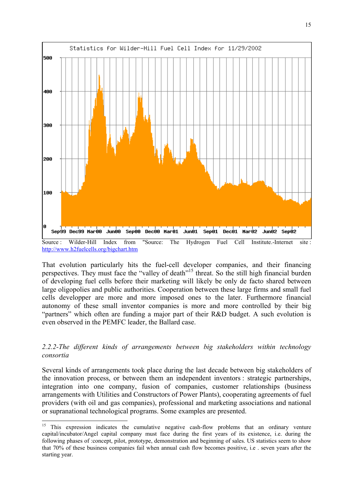

<http://www.h2fuelcells.org/bigchart.htm>

That evolution particularly hits the fuel-cell developer companies, and their financing perspectives. They must face the "valley of death"<sup>15</sup> threat. So the still high financial burden of developing fuel cells before their marketing will likely be only de facto shared between large oligopolies and public authorities. Cooperation between these large firms and small fuel cells developper are more and more imposed ones to the later. Furthermore financial autonomy of these small inventor companies is more and more controlled by their big "partners" which often are funding a major part of their R&D budget. A such evolution is even observed in the PEMFC leader, the Ballard case.

## *2.2.2-The different kinds of arrangements between big stakeholders within technology consortia*

Several kinds of arrangements took place during the last decade between big stakeholders of the innovation process, or between them an independent inventors : strategic partnerships, integration into one company, fusion of companies, customer relationships (business arrangements with Utilities and Constructors of Power Plants), cooperating agreements of fuel providers (with oil and gas companies), professional and marketing associations and national or supranational technological programs. Some examples are presented.

<span id="page-14-0"></span><sup>&</sup>lt;sup>15</sup> This expression indicates the cumulative negative cash-flow problems that an ordinary venture capital/incubator/Angel capital company must face during the first years of its existence, i.e. during the following phases of :concept, pilot, prototype, demonstration and beginning of sales. US statistics seem to show that 70% of these business companies fail when annual cash flow becomes positive, i.e . seven years after the starting year.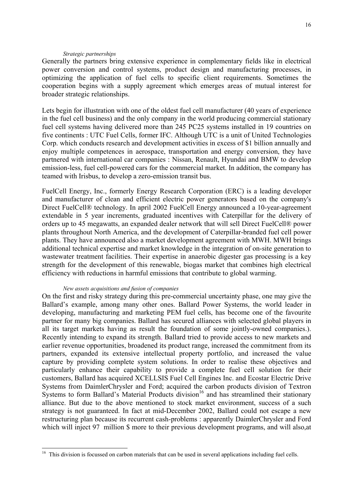#### *Strategic partnerships*

Generally the partners bring extensive experience in complementary fields like in electrical power conversion and control systems, product design and manufacturing processes, in optimizing the application of fuel cells to specific client requirements. Sometimes the cooperation begins with a supply agreement which emerges areas of mutual interest for broader strategic relationships.

Lets begin for illustration with one of the oldest fuel cell manufacturer (40 years of experience in the fuel cell business) and the only company in the world producing commercial stationary fuel cell systems having delivered more than 245 PC25 systems installed in 19 countries on five continents : UTC Fuel Cells, former IFC. Although UTC is a unit of United Technologies Corp. which conducts research and development activities in excess of \$1 billion annually and enjoy multiple competences in aerospace, transportation and energy conversion, they have partnered with international car companies : Nissan, Renault, Hyundai and BMW to develop emission-less, fuel cell-powered cars for the commercial market. In addition, the company has teamed with Irisbus, to develop a zero-emission transit bus.

FuelCell Energy, Inc., formerly Energy Research Corporation (ERC) is a leading developer and manufacturer of clean and efficient electric power generators based on the company's Direct FuelCell® technology. In april 2002 FuelCell Energy announced a 10-year-agreement extendable in 5 year increments, graduated incentives with Caterpillar for the delivery of orders up to 45 megawatts, an expanded dealer network that will sell Direct FuelCell® power plants throughout North America, and the development of Caterpillar-branded fuel cell power plants. They have announced also a market development agreement with MWH. MWH brings additional technical expertise and market knowledge in the integration of on-site generation to wastewater treatment facilities. Their expertise in anaerobic digester gas processing is a key strength for the development of this renewable, biogas market that combines high electrical efficiency with reductions in harmful emissions that contribute to global warming.

### *New assets acquisitions and fusion of companies*

-

On the first and risky strategy during this pre-commercial uncertainty phase, one may give the Ballard's example, among many other ones. Ballard Power Systems, the world leader in developing, manufacturing and marketing PEM fuel cells, has become one of the favourite partner for many big companies. Ballard has secured alliances with selected global players in all its target markets having as result the foundation of some jointly-owned companies.). Recently intending to expand its strength, Ballard tried to provide access to new markets and earlier revenue opportunities, broadened its product range, increased the commitment from its partners, expanded its extensive intellectual property portfolio, and increased the value capture by providing complete system solutions. In order to realise these objectives and particularly enhance their capability to provide a complete fuel cell solution for their customers, Ballard has acquired XCELLSIS Fuel Cell Engines Inc. and Ecostar Electric Drive Systems from DaimlerChrysler and Ford; acquired the carbon products division of Textron Systems to form Ballard's Material Products division<sup>16</sup> and has streamlined their stationary alliance. But due to the above mentioned to stock market environment, success of a such strategy is not guaranteed. In fact at mid-December 2002, Ballard could not escape a new restructuring plan because its recurrent cash-problems : apparently DaimlerChrysler and Ford which will inject 97 million \$ more to their previous development programs, and will also, at

<span id="page-15-0"></span> $16$  This division is focussed on carbon materials that can be used in several applications including fuel cells.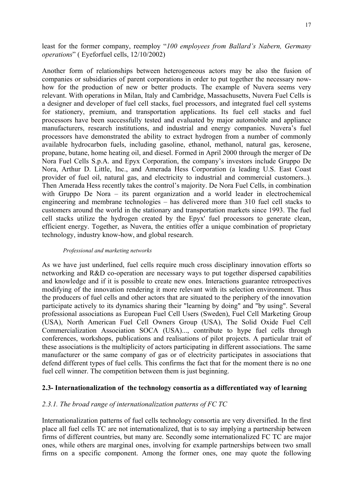least for the former company, reemploy "*100 employees from Ballard's Nabern, Germany operations*" ( Eyeforfuel cells, 12/10/2002)

Another form of relationships between heterogeneous actors may be also the fusion of companies or subsidiaries of parent corporations in order to put together the necessary nowhow for the production of new or better products. The example of Nuvera seems very relevant. With operations in Milan, Italy and Cambridge, Massachusetts, Nuvera Fuel Cells is a designer and developer of fuel cell stacks, fuel processors, and integrated fuel cell systems for stationery, premium, and transportation applications. Its fuel cell stacks and fuel processors have been successfully tested and evaluated by major automobile and appliance manufacturers, research institutions, and industrial and energy companies. Nuvera's fuel processors have demonstrated the ability to extract hydrogen from a number of commonly available hydrocarbon fuels, including gasoline, ethanol, methanol, natural gas, kerosene, propane, butane, home heating oil, and diesel. Formed in April 2000 through the merger of De Nora Fuel Cells S.p.A. and Epyx Corporation, the company's investors include Gruppo De Nora, Arthur D. Little, Inc., and Amerada Hess Corporation (a leading U.S. East Coast provider of fuel oil, natural gas, and electricity to industrial and commercial customers..). Then Amerada Hess recently takes the control's majority. De Nora Fuel Cells, in combination with Gruppo De Nora – its parent organization and a world leader in electrochemical engineering and membrane technologies – has delivered more than 310 fuel cell stacks to customers around the world in the stationary and transportation markets since 1993. The fuel cell stacks utilize the hydrogen created by the Epyx' fuel processors to generate clean, efficient energy. Together, as Nuvera, the entities offer a unique combination of proprietary technology, industry know-how, and global research.

### *Professional and marketing networks*

As we have just underlined, fuel cells require much cross disciplinary innovation efforts so networking and R&D co-operation are necessary ways to put together dispersed capabilities and knowledge and if it is possible to create new ones. Interactions guarantee retrospectives modifying of the innovation rendering it more relevant with its selection environment. Thus the producers of fuel cells and other actors that are situated to the periphery of the innovation participate actively to its dynamics sharing their "learning by doing" and "by using". Several professional associations as European Fuel Cell Users (Sweden), Fuel Cell Marketing Group (USA), North American Fuel Cell Owners Group (USA), The Solid Oxide Fuel Cell Commercialization Association SOCA (USA)..., contribute to hype fuel cells through conferences, workshops, publications and realisations of pilot projects. A particular trait of these associations is the multiplicity of actors participating in different associations. The same manufacturer or the same company of gas or of electricity participates in associations that defend different types of fuel cells. This confirms the fact that for the moment there is no one fuel cell winner. The competition between them is just beginning.

### **2.3- Internationalization of the technology consortia as a differentiated way of learning**

### *2.3.1. The broad range of internationalization patterns of FC TC*

Internationalization patterns of fuel cells technology consortia are very diversified. In the first place all fuel cells TC are not internationalized, that is to say implying a partnership between firms of different countries, but many are. Secondly some internationalized FC TC are major ones, while others are marginal ones, involving for example partnerships between two small firms on a specific component. Among the former ones, one may quote the following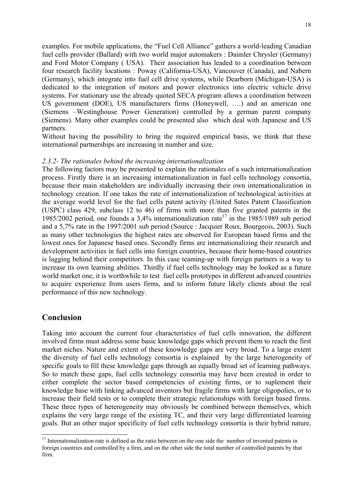examples. For mobile applications, the "Fuel Cell Alliance" gathers a world-leading Canadian fuel cells provider (Ballard) with two world major automakers : Daimler Chrysler (Germany) and Ford Motor Company ( USA). Their association has leaded to a coordination between four research facility locations : Poway (California-USA), Vancouver (Canada), and Nabern (Germany), which integrate into fuel cell drive systems, while Dearborn (Michigan-USA) is dedicated to the integration of motors and power electronics into electric vehicle drive systems. For stationary use the already quoted SECA program allows a coordination between US government (DOE), US manufacturers firms (Honeywell, ….) and an american one (Siemens –Westinghouse Power Generation) controlled by a german parent company (Siemens). Many other examples could be presented also which deal with Japanese and US partners.

Without having the possibility to bring the required empirical basis, we think that these international partnerships are increasing in number and size.

### *2.3.2- The rationales behind the increasing internationalization*

The following factors may be presented to explain the rationales of a such internationalization process. Firstly there is an increasing internationalization in fuel cells technology consortia, because their main stakeholders are individually increasing their own internationalization in technology creation. If one takes the rate of internationalization of technological activities at the average world level for the fuel cells patent activity (United Sates Patent Classification (USPC) class 429, subclass 12 to 46) of firms with more than five granted patents in the 1985/2002 period, one founds a 3.4% internationalization rate<sup>17</sup> in the 1985/1989 sub period and a 5,7% rate in the 1997/2001 sub period (Source : Jacquier Roux, Bourgeois, 2003). Such as many other technologies the highest rates are observed for European based firms and the lowest ones for Japanese based ones. Secondly firms are internationalizing their research and development activities in fuel cells into foreign countries, because their home-based countries is lagging behind their competitors. In this case teaming-up with foreign partners is a way to increase its own learning abilities. Thirdly if fuel cells technology may be looked as a future world market one, it is worthwhile to test fuel cells prototypes in different advanced countries to acquire experience from users firms, and to inform future likely clients about the real performance of this new technology.

## **Conclusion**

-

Taking into account the current four characteristics of fuel cells innovation, the different involved firms must address some basic knowledge gaps which prevent them to reach the first market niches. Nature and extent of these knowledge gaps are very broad. To a large extent the diversity of fuel cells technology consortia is explained by the large heterogeneity of specific goals to fill these knowledge gaps through an equally broad set of learning pathways. So to match these gaps, fuel cells technology consortia may have been created in order to either complete the sector based competencies of existing firms, or to suplement their knowledge base with linking advanced inventors but fragile firms with large oligopolies, or to increase their field tests or to complete their strategic relationships with foreign based firms. These three types of heterogeneity may obviously be combined between themselves, which explains the very large range of the existing TC, and their very large differentiated learning goals. But an other major specificity of fuel cells technology consortia is their hybrid nature,

<span id="page-17-0"></span><sup>&</sup>lt;sup>17</sup> Internationalization rate is defined as the ratio between on the one side the number of invented patents in foreign countries and controlled by a firm, and on the other side the total number of controlled patents by that firm.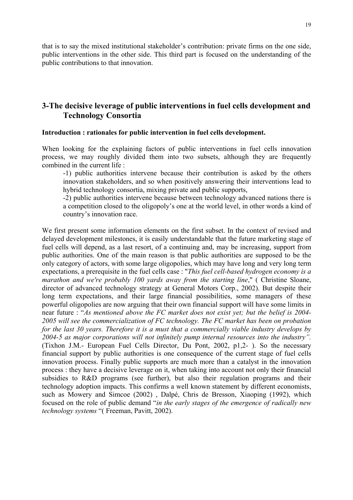that is to say the mixed institutional stakeholder's contribution: private firms on the one side, public interventions in the other side. This third part is focused on the understanding of the public contributions to that innovation.

# **3-The decisive leverage of public interventions in fuel cells development and Technology Consortia**

### **Introduction : rationales for public intervention in fuel cells development.**

When looking for the explaining factors of public interventions in fuel cells innovation process, we may roughly divided them into two subsets, although they are frequently combined in the current life :

-1) public authorities intervene because their contribution is asked by the others innovation stakeholders, and so when positively answering their interventions lead to hybrid technology consortia, mixing private and public supports,

-2) public authorities intervene because between technology advanced nations there is a competition closed to the oligopoly's one at the world level, in other words a kind of country's innovation race.

We first present some information elements on the first subset. In the context of revised and delayed development milestones, it is easily understandable that the future marketing stage of fuel cells will depend, as a last resort, of a continuing and, may be increasing, support from public authorities. One of the main reason is that public authorities are supposed to be the only category of actors, with some large oligopolies, which may have long and very long term expectations, a prerequisite in the fuel cells case : "*This fuel cell-based hydrogen economy is a marathon and we're probably 100 yards away from the starting line*," ( Christine Sloane, director of advanced technology strategy at General Motors Corp., 2002). But despite their long term expectations, and their large financial possibilities, some managers of these powerful oligopolies are now arguing that their own financial support will have some limits in near future : "*As mentioned above the FC market does not exist yet; but the belief is 2004- 2005 will see the commercialization of FC technology. The FC market has been on probation for the last 30 years. Therefore it is a must that a commercially viable industry develops by 2004-5 as major corporations will not infinitely pump internal resources into the industry".* (Tixhon J.M.- European Fuel Cells Director, Du Pont, 2002, p1,2- ). So the necessary financial support by public authorities is one consequence of the current stage of fuel cells innovation process. Finally public supports are much more than a catalyst in the innovation process : they have a decisive leverage on it, when taking into account not only their financial subsidies to R&D programs (see further), but also their regulation programs and their technology adoption impacts. This confirms a well known statement by different economists, such as Mowery and Simcoe (2002) , Dalpé, Chris de Bresson, Xiaoping (1992), which focused on the role of public demand "*in the early stages of the emergence of radically new technology systems* "( Freeman, Pavitt, 2002).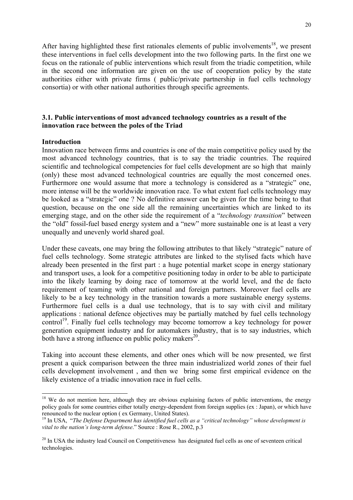After having highlighted these first rationales elements of public involvements<sup>18</sup>, we present these interventions in fuel cells development into the two following parts. In the first one we focus on the rationale of public interventions which result from the triadic competition, while in the second one information are given on the use of cooperation policy by the state authorities either with private firms ( public/private partnership in fuel cells technology consortia) or with other national authorities through specific agreements.

## **3.1. Public interventions of most advanced technology countries as a result of the innovation race between the poles of the Triad**

### **Introduction**

-

Innovation race between firms and countries is one of the main competitive policy used by the most advanced technology countries, that is to say the triadic countries. The required scientific and technological competencies for fuel cells development are so high that mainly (only) these most advanced technological countries are equally the most concerned ones. Furthermore one would assume that more a technology is considered as a "strategic" one, more intense will be the worldwide innovation race. To what extent fuel cells technology may be looked as a "strategic" one ? No definitive answer can be given for the time being to that question, because on the one side all the remaining uncertainties which are linked to its emerging stage, and on the other side the requirement of a "*technology transition*" between the "old" fossil-fuel based energy system and a "new" more sustainable one is at least a very unequally and unevenly world shared goal.

Under these caveats, one may bring the following attributes to that likely "strategic" nature of fuel cells technology. Some strategic attributes are linked to the stylised facts which have already been presented in the first part : a huge potential market scope in energy stationary and transport uses, a look for a competitive positioning today in order to be able to participate into the likely learning by doing race of tomorrow at the world level, and the de facto requirement of teaming with other national and foreign partners. Moreover fuel cells are likely to be a key technology in the transition towards a more sustainable energy systems. Furthermore fuel cells is a dual use technology, that is to say with civil and military applications : national defence objectives may be partially matched by fuel cells technology control<sup>19</sup>. Finally fuel cells technology may become tomorrow a key technology for power generation equipment industry and for automakers industry, that is to say industries, which both have a strong influence on public policy makers<sup>20</sup>.

Taking into account these elements, and other ones which will be now presented, we first present a quick comparison between the three main industrialized world zones of their fuel cells development involvement , and then we bring some first empirical evidence on the likely existence of a triadic innovation race in fuel cells.

<span id="page-19-0"></span><sup>&</sup>lt;sup>18</sup> We do not mention here, although they are obvious explaining factors of public interventions, the energy policy goals for some countries either totally energy-dependent from foreign supplies (ex : Japan), or which have renounced to the nuclear option ( ex Germany, United States).

<span id="page-19-1"></span><sup>19</sup> In USA, "*The Defense Department has identified fuel cells as a "critical technology" whose development is vital to the nation's long-term defense*." Source : Rose R., 2002, p.3

<span id="page-19-2"></span><sup>&</sup>lt;sup>20</sup> In USA the industry lead Council on Competitiveness has designated fuel cells as one of seventeen critical technologies.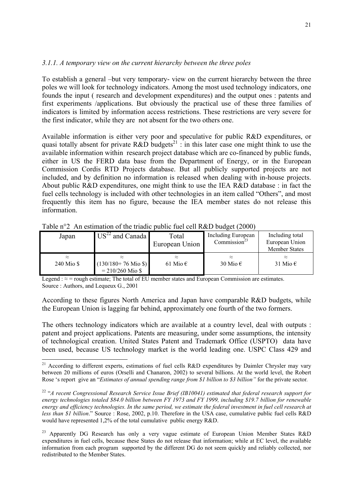## *3.1.1. A temporary view on the current hierarchy between the three poles*

To establish a general –but very temporary- view on the current hierarchy between the three poles we will look for technology indicators. Among the most used technology indicators, one founds the input ( research and development expenditures) and the output ones : patents and first experiments /applications. But obviously the practical use of these three families of indicators is limited by information access restrictions. These restrictions are very severe for the first indicator, while they are not absent for the two others one.

Available information is either very poor and speculative for public R&D expenditures, or quasi totally absent for private R&D budgets<sup>21</sup>: in this later case one might think to use the available information within research project database which are co-financed by public funds, either in US the FERD data base from the Department of Energy, or in the European Commission Cordis RTD Projects database. But all publicly supported projects are not included, and by definition no information is released when dealing with in-house projects. About public R&D expenditures, one might think to use the IEA R&D database : in fact the fuel cells technology is included with other technologies in an item called "Others", and most frequently this item has no figure, because the IEA member states do not release this information.

| Japan                   | $\text{US}^{22}$ and Canada                              | Total<br>European Union          | Including European<br>Commission <sup>23</sup> | Including total<br>European Union<br><b>Member States</b> |
|-------------------------|----------------------------------------------------------|----------------------------------|------------------------------------------------|-----------------------------------------------------------|
| $\approx$<br>240 Mio \$ | $\approx$<br>$(130/180+76$ Mio \$)<br>$= 210/260$ Mio \$ | $\approx$<br>$61$ Mio $\epsilon$ | $\approx$<br>30 Mio $\epsilon$                 | $\approx$<br>31 Mio $\epsilon$                            |

Table n<sup>o</sup>2 An estimation of the triadic public fuel cell R&D budget (2000)

-

Legend :  $\approx$  = rough estimate; The total of EU member states and European Commission are estimates. Source : Authors, and Lequeux G., 2001

According to these figures North America and Japan have comparable R&D budgets, while the European Union is lagging far behind, approximately one fourth of the two formers.

The others technology indicators which are available at a country level, deal with outputs : patent and project applications. Patents are measuring, under some assumptions, the intensity of technological creation. United States Patent and Trademark Office (USPTO) data have been used, because US technology market is the world leading one. USPC Class 429 and

<span id="page-20-0"></span><sup>&</sup>lt;sup>21</sup> According to different experts, estimations of fuel cells R&D expenditures by Daimler Chrysler may vary between 20 millions of euros (Orselli and Chanaron, 2002) to several billions. At the world level, the Robert Rose 's report give an "*Estimates of annual spending range from \$1 billion to \$3 billion"* for the private sector*.*

<span id="page-20-1"></span><sup>22 &</sup>quot;*A recent Congressional Research Service Issue Brief (IB10041) estimated that federal research support for energy technologies totaled \$84.0 billion between FY 1973 and FY 1999, including \$19.7 billion for renewable energy and efficiency technologies. In the same period, we estimate the federal investment in fuel cell research at less than \$1 billion*." Source : Rose, 2002, p.10. Therefore in the USA case, cumulative public fuel cells R&D would have represented 1,2% of the total cumulative public energy R&D.

<span id="page-20-2"></span><sup>&</sup>lt;sup>23</sup> Apparently DG Research has only a very vague estimate of European Union Member States R&D expenditures in fuel cells, because these States do not release that information; while at EC level, the available information from each program supported by the different DG do not seem quickly and reliably collected, nor redistributed to the Member States.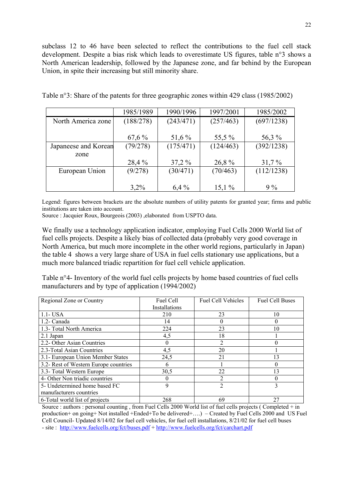subclass 12 to 46 have been selected to reflect the contributions to the fuel cell stack development. Despite a bias risk which leads to overestimate US figures, table n°3 shows a North American leadership, followed by the Japanese zone, and far behind by the European Union, in spite their increasing but still minority share.

|                      | 1985/1989 | 1990/1996 | 1997/2001 | 1985/2002  |
|----------------------|-----------|-----------|-----------|------------|
| North America zone   | (188/278) | (243/471) | (257/463) | (697/1238) |
|                      |           |           |           |            |
|                      | 67,6%     | 51,6 %    | 55,5 %    | 56,3 %     |
| Japaneese and Korean | (79/278)  | (175/471) | (124/463) | (392/1238) |
| zone                 |           |           |           |            |
|                      | 28,4 %    | 37,2%     | 26,8%     | 31,7%      |
| European Union       | (9/278)   | (30/471)  | (70/463)  | (112/1238) |
|                      |           |           |           |            |
|                      | 3,2%      | 6,4%      | 15,1%     | $9\%$      |

Table n°3: Share of the patents for three geographic zones within 429 class (1985/2002)

Legend: figures between brackets are the absolute numbers of utility patents for granted year; firms and public institutions are taken into account.

Source : Jacquier Roux, Bourgeois (2003) ,elaborated from USPTO data.

We finally use a technology application indicator, employing Fuel Cells 2000 World list of fuel cells projects. Despite a likely bias of collected data (probably very good coverage in North America, but much more incomplete in the other world regions, particularly in Japan) the table 4 shows a very large share of USA in fuel cells stationary use applications, but a much more balanced triadic repartition for fuel cell vehicle application.

Table n°4- Inventory of the world fuel cells projects by home based countries of fuel cells manufacturers and by type of application (1994/2002)

| Regional Zone or Country              | Fuel Cell     | <b>Fuel Cell Vehicles</b> | <b>Fuel Cell Buses</b> |
|---------------------------------------|---------------|---------------------------|------------------------|
|                                       | Installations |                           |                        |
| $1.1 - USA$                           | 210           | 23                        | 10                     |
| 1.2- Canada                           | 14            |                           | 0                      |
| 1.3- Total North America              | 224           | 23                        | 10                     |
| $2.1$ Japan                           | 4,5           | 18                        |                        |
| 2.2- Other Asian Countries            | 0             |                           |                        |
| 2.3-Total Asian Countries             | 4,5           | 20                        |                        |
| 3.1- European Union Member States     | 24,5          | 21                        | 13                     |
| 3.2- Rest of Western Europe countries | 6             |                           |                        |
| 3.3- Total Western Europe             | 30,5          | 22                        | 13                     |
| 4- Other Non triadic countries        | 0             | 2                         |                        |
| 5- Undetermined home based FC         | q             | $\overline{c}$            | 3                      |
| manufacturers countries               |               |                           |                        |
| 6-Total world list of projects        | 268           | 69                        | 27                     |

Source : authors : personal counting , from Fuel Cells 2000 World list of fuel cells projects ( Completed + in production+ on going+ Not installed +Ended+To be delivered+….) – Created by Fuel Cells 2000 and US Fuel Cell Council- Updated 8/14/02 for fuel cell vehicles, for fuel cell installations, 8/21/02 for fuel cell buses - site : <http://www.fuelcells.org/fct/buses.pdf>+<http://www.fuelcells.org/fct/carchart.pdf>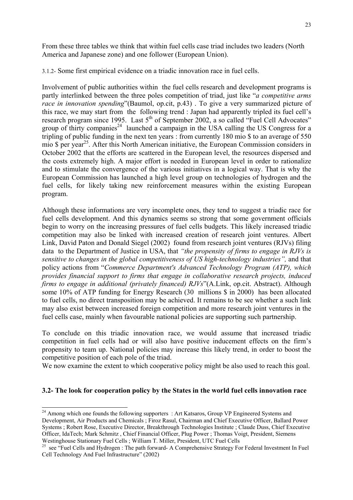From these three tables we think that within fuel cells case triad includes two leaders (North America and Japanese zone) and one follower (European Union).

3.1.2- Some first empirical evidence on a triadic innovation race in fuel cells.

Involvement of public authorities within the fuel cells research and development programs is partly interlinked between the three poles competition of triad, just like "*a competitive arms race in innovation spending*"(Baumol, op.cit, p.43) . To give a very summarized picture of this race, we may start from the following trend : Japan had apparently tripled its fuel cell's research program since 1995. Last  $5<sup>th</sup>$  of September 2002, a so called "Fuel Cell Advocates" group of thirty companies<sup>24</sup> launched a campaign in the USA calling the US Congress for a tripling of public funding in the next ten years : from currently 180 mio \$ to an average of 550 mio  $\delta$  per year<sup>25</sup>. After this North American initiative, the European Commission considers in October 2002 that the efforts are scattered in the European level, the resources dispersed and the costs extremely high. A major effort is needed in European level in order to rationalize and to stimulate the convergence of the various initiatives in a logical way. That is why the European Commission has launched a high level group on technologies of hydrogen and the fuel cells, for likely taking new reinforcement measures within the existing European program.

Although these informations are very incomplete ones, they tend to suggest a triadic race for fuel cells development. And this dynamics seems so strong that some government officials begin to worry on the increasing pressures of fuel cells budgets. This likely increased triadic competition may also be linked with increased creation of research joint ventures. Albert Link, David Paton and Donald Siegel (2002) found from research joint ventures (RJVs) filing data to the Department of Justice in USA, that *"the propensity of firms to engage in RJVs is sensitive to changes in the global competitiveness of US high-technology industries",* and that policy actions from "*Commerce Department's Advanced Technology Program (ATP), which provides financial support to firms that engage in collaborative research projects, induced firms to engage in additional (privately financed) RJVs*"(A.Link, op.cit. Abstract). Although some 10% of ATP funding for Energy Research (30 millions \$ in 2000) has been allocated to fuel cells, no direct transposition may be achieved. It remains to be see whether a such link may also exist between increased foreign competition and more research joint ventures in the fuel cells case, mainly when favourable national policies are supporting such partnership.

To conclude on this triadic innovation race, we would assume that increased triadic competition in fuel cells had or will also have positive inducement effects on the firm's propensity to team up. National policies may increase this likely trend, in order to boost the competitive position of each pole of the triad.

We now examine the extent to which cooperative policy might be also used to reach this goal.

### **3.2- The look for cooperation policy by the States in the world fuel cells innovation race**

<span id="page-22-0"></span><sup>&</sup>lt;sup>24</sup> Among which one founds the following supporters : Art Katsaros, Group VP Engineered Systems and Development, Air Products and Chemicals ; Firoz Rasul, Chairman and Chief Executive Officer, Ballard Power Systems ; Robert Rose, Executive Director, Breakthrough Technologies Institute ; Claude Duss, Chief Executive Officer, IdaTech; Mark Schmitz , Chief Financial Officer, Plug Power ; Thomas Voigt, President, Siemens Westinghouse Stationary Fuel Cells ; William T. Miller, President, UTC Fuel Cells

<span id="page-22-1"></span><sup>&</sup>lt;sup>25</sup> see "Fuel Cells and Hydrogen : The path forward- A Comprehensive Strategy For Federal Investment In Fuel Cell Technology And Fuel Infrastructure" (2002)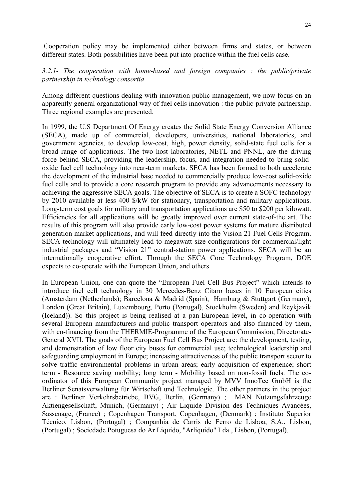Cooperation policy may be implemented either between firms and states, or between different states. Both possibilities have been put into practice within the fuel cells case.

*3.2.1- The cooperation with home-based and foreign companies : the public/private partnership in technology consortia* 

Among different questions dealing with innovation public management, we now focus on an apparently general organizational way of fuel cells innovation : the public-private partnership. Three regional examples are presented.

In 1999, the U.S Department Of Energy creates the Solid State Energy Conversion Alliance (SECA), made up of commercial, developers, universities, national laboratories, and government agencies, to develop low-cost, high, power density, solid-state fuel cells for a broad range of applications. The two host laboratories, NETL and PNNL, are the driving force behind SECA, providing the leadership, focus, and integration needed to bring solidoxide fuel cell technology into near-term markets. SECA has been formed to both accelerate the development of the industrial base needed to commercially produce low-cost solid-oxide fuel cells and to provide a core research program to provide any advancements necessary to achieving the aggressive SECA goals. The objective of SECA is to create a SOFC technology by 2010 available at less 400 \$/kW for stationary, transportation and military applications. Long-term cost goals for military and transportation applications are \$50 to \$200 per kilowatt. Efficiencies for all applications will be greatly improved over current state-of-the art. The results of this program will also provide early low-cost power systems for mature distributed generation market applications, and will feed directly into the Vision 21 Fuel Cells Program. SECA technology will ultimately lead to megawatt size configurations for commercial/light industrial packages and "Vision 21" central-station power applications. SECA will be an internationally cooperative effort. Through the SECA Core Technology Program, DOE expects to co-operate with the European Union, and others.

In European Union*,* one can quote the "European Fuel Cell Bus Project" which intends to introduce fuel cell technology in 30 Mercedes-Benz Citaro buses in 10 European cities (Amsterdam (Netherlands); Barcelona & Madrid (Spain), Hamburg & Stuttgart (Germany), London (Great Britain), Luxembourg, Porto (Portugal), Stockholm (Sweden) and Reykjavik (Iceland)). So this project is being realised at a pan-European level, in co-operation with several European manufacturers and public transport operators and also financed by them, with co-financing from the THERMIE-Programme of the European Commission, Directorate-General XVII. The goals of the European Fuel Cell Bus Project are: the development, testing, and demonstration of low floor city buses for commercial use; technological leadership and safeguarding employment in Europe; increasing attractiveness of the public transport sector to solve traffic environmental problems in urban areas; early acquisition of experience; short term - Resource saving mobility; long term - Mobility based on non-fossil fuels. The coordinator of this European Community project managed by MVV InnoTec GmbH is the Berliner Senatsverwaltung für Wirtschaft und Technologie. The other partners in the project are : Berliner Verkehrsbetriebe, BVG, Berlin, (Germany) ; MAN Nutzungsfahrzeuge Aktiengesellschaft, Munich, (Germany) ; Air Liquide Division des Techniques Avancées, Sassenage, (France) ; Copenhagen Transport, Copenhagen, (Denmark) ; Instituto Superior Técnico, Lisbon, (Portugal) ; Companhia de Carris de Ferro de Lisboa, S.A., Lisbon, (Portugal) ; Sociedade Potuguesa do Ar Liquido, "Arliquido" Lda., Lisbon, (Portugal).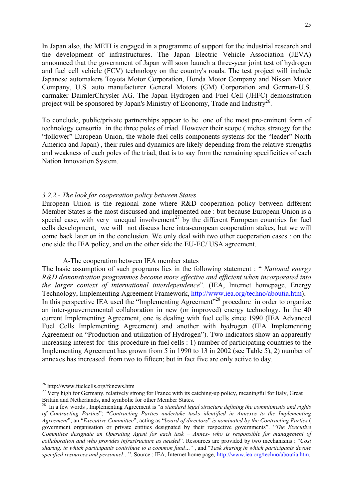In Japan also, the METI is engaged in a programme of support for the industrial research and the development of infrastructures. The Japan Electric Vehicle Association (JEVA) announced that the government of Japan will soon launch a three-year joint test of hydrogen and fuel cell vehicle (FCV) technology on the country's roads. The test project will include Japanese automakers Toyota Motor Corporation, Honda Motor Company and Nissan Motor Company, U.S. auto manufacturer General Motors (GM) Corporation and German-U.S. carmaker DaimlerChrysler AG. The Japan Hydrogen and Fuel Cell (JHFC) demonstration project will be sponsored by Japan's Ministry of Economy, Trade and Industry<sup>26</sup>.

To conclude, public/private partnerships appear to be one of the most pre-eminent form of technology consortia in the three poles of triad. However their scope ( niches strategy for the "follower" European Union, the whole fuel cells components systems for the "leader" North America and Japan) , their rules and dynamics are likely depending from the relative strengths and weakness of each poles of the triad, that is to say from the remaining specificities of each Nation Innovation System.

### *3.2.2.- The look for cooperation policy between States*

European Union is the regional zone where R&D cooperation policy between different Member States is the most discussed and implemented one : but because European Union is a special case, with very unequal involvement<sup>27</sup> by the different European countries for fuel cells development, we will not discuss here intra-european cooperation stakes, but we will come back later on in the conclusion. We only deal with two other cooperation cases : on the one side the IEA policy, and on the other side the EU-EC/ USA agreement.

### A-The cooperation between IEA member states

The basic assumption of such programs lies in the following statement : " *National energy R&D demonstration programmes become more effective and efficient when incorporated into the larger context of international interdependence*". (IEA, Internet homepage, Energy Technology, Implementing Agreement Framework, [http://www.iea.org/techno/aboutia.htm\)](http://www.iea.org/techno/aboutia.htm). In this perspective IEA used the "Implementing Agreement"<sup>28</sup> procedure in order to organize an inter-gouvernemental collaboration in new (or improved) energy technology. In the 40 current Implementing Agreement, one is dealing with fuel cells since 1990 (IEA Advanced Fuel Cells Implementing Agreement) and another with hydrogen (IEA Implementing Agreement on "Production and utilization of Hydrogen"). Two indicators show an apparently increasing interest for this procedure in fuel cells : 1) number of participating countries to the Implementing Agreement has grown from 5 in 1990 to 13 in 2002 (see Table 5), 2) number of annexes has increased from two to fifteen; but in fact five are only active to day.

<span id="page-24-0"></span><sup>26</sup> http://www.fuelcells.org/fcnews.htm

<span id="page-24-1"></span><sup>&</sup>lt;sup>27</sup> Very high for Germany, relatively strong for France with its catching-up policy, meaningful for Italy, Great Britain and Netherlands, and symbolic for other Member States.

<span id="page-24-2"></span><sup>&</sup>lt;sup>28</sup> In a few words , Implementing Agreement is "*a standard legal structure defining the commitments and rights of Contracting Parties*"; "*Contracting Parties undertake tasks identified in Annexes to the Implementing Agreement*"; an "*Executive Committee*", acting as "*board of directors*" *is nominated by the Contracting Parties* ( government organisation or private entities designated by their respective governments". "*The Executive Committee designate an Operating Agent for each task – Annex- who is responsible for management of collaboration and who provides infrastructure as needed*". Resources are provided by two mechanisms : "*Cost sharing, in which participants contribute to a common fund…*" , and "*Task sharing in which participants devote specified resources and personnel…*". Source : IEA, Internet home page, [http://www.iea.org/techno/aboutia.htm.](http://www.iea.org/techno/aboutia.htm)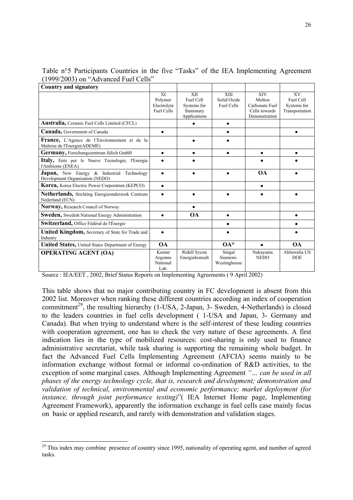| Country and signatory                                                               |                                                   |                                                               |                                                 |                                                                          |                                                  |
|-------------------------------------------------------------------------------------|---------------------------------------------------|---------------------------------------------------------------|-------------------------------------------------|--------------------------------------------------------------------------|--------------------------------------------------|
|                                                                                     | XI<br>Polymer<br>Electrolyte<br><b>Fuel Cells</b> | XII<br>Fuel Cell<br>Systems for<br>Stationary<br>Applications | <b>XIII</b><br>Solid Oxide<br><b>Fuel Cells</b> | <b>XIV</b><br>Molten<br>Carbonate Fuel<br>Cells towards<br>Demonstration | XV<br>Fuel Cell<br>Systems for<br>Transportation |
| <b>Australia, Ceramic Fuel Cells Limited (CFCL)</b>                                 |                                                   |                                                               | $\bullet$                                       |                                                                          |                                                  |
| <b>Canada, Government of Canada</b>                                                 | $\bullet$                                         |                                                               |                                                 |                                                                          |                                                  |
| <b>France,</b> L'Agence de l'Environnement et de la<br>Maîtrise de l'Energie(ADEME) |                                                   |                                                               | $\bullet$                                       |                                                                          |                                                  |
| Germany, Forschungszentrum Jülich GmbH                                              | $\bullet$                                         | $\bullet$                                                     | $\bullet$                                       | $\bullet$                                                                | $\bullet$                                        |
| Italy, Ente per le Nuove Tecnologie, l'Energia<br>l'Ambiente (ENEA)                 | $\bullet$                                         |                                                               |                                                 |                                                                          |                                                  |
| <b>Japan,</b> New Energy & Industrial Technology<br>Development Organization (NEDO) | $\bullet$                                         |                                                               |                                                 | <b>OA</b>                                                                |                                                  |
| <b>Korea, Korea Electric Power Corporation (KEPCO)</b>                              | $\bullet$                                         |                                                               |                                                 | $\bullet$                                                                |                                                  |
| Netherlands, Stichting Energieonderzoek Centrum<br>Nederland (ECN)                  |                                                   |                                                               |                                                 |                                                                          |                                                  |
| Norway, Research Council of Norway                                                  |                                                   | $\bullet$                                                     |                                                 |                                                                          |                                                  |
| Sweden, Swedish National Energy Administration                                      | $\bullet$                                         | <b>OA</b>                                                     | $\bullet$                                       |                                                                          |                                                  |
| Switzerland, Office Fédéral de l'Énergie                                            |                                                   |                                                               |                                                 |                                                                          |                                                  |
| United Kingdom, Secretary of State for Trade and<br>Industry                        |                                                   |                                                               |                                                 |                                                                          |                                                  |
| <b>United States, United States Department of Energy</b>                            | <b>OA</b>                                         |                                                               | $O A^*$                                         |                                                                          | <b>OA</b>                                        |
| <b>OPERATING AGENT (OA)</b>                                                         | Kumar<br>Argonne<br>National<br>Lab.              | Ridell Sycon<br>Energiekonsult                                | Singal<br>Siemens-<br>Westinghouse              | Nakayama<br><b>NEDO</b>                                                  | Ahluwalia US<br><b>DOE</b>                       |

Table n°5 Participants Countries in the five "Tasks" of the IEA Implementing Agreement (1999/2003) on "Advanced Fuel Cells"

This table shows that no major contributing country in FC development is absent from this 2002 list. Moreover when ranking these different countries according an index of cooperation commitment<sup>29</sup>, the resulting hierarchy (1-USA, 2-Japan, 3- Sweden, 4-Netherlands) is closed to the leaders countries in fuel cells development ( 1-USA and Japan, 3- Germany and Canada). But when trying to understand where is the self-interest of these leading countries with cooperation agreement, one has to check the very nature of these agreements. A first indication lies in the type of mobilized resources: cost-sharing is only used to finance administrative secretariat, while task sharing is supporting the remaining whole budget. In fact the Advanced Fuel Cells Implementing Agreement (AFCIA) seems mainly to be information exchange without formal or informal co-ordination of R&D activities, to the exception of some marginal cases. Although Implementing Agreement *"... can be used in all phases of the energy technology cycle, that is, research and development; demonstration and validation of technical, environmental and economic performance; market deployment (for instance, through joint performance testing)*"( IEA Internet Home page, Implementing Agreement Framework), apparently the information exchange in fuel cells case mainly focus on basic or applied research, and rarely with demonstration and validation stages.

Source : IEA/EET , 2002, Brief Status Reports on Implementing Agreements ( 9 April 2002)

<span id="page-25-0"></span><sup>&</sup>lt;sup>29</sup> This index may combine presence of country since 1995, nationality of operating agent, and number of agreed tasks.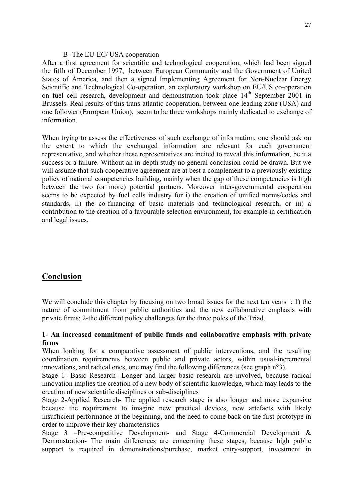### B- The EU-EC/ USA cooperation

After a first agreement for scientific and technological cooperation, which had been signed the fifth of December 1997, between European Community and the Government of United States of America, and then a signed Implementing Agreement for Non-Nuclear Energy Scientific and Technological Co-operation, an exploratory workshop on EU/US co-operation on fuel cell research, development and demonstration took place 14<sup>th</sup> September 2001 in Brussels. Real results of this trans-atlantic cooperation, between one leading zone (USA) and one follower (European Union), seem to be three workshops mainly dedicated to exchange of information.

When trying to assess the effectiveness of such exchange of information, one should ask on the extent to which the exchanged information are relevant for each government representative, and whether these representatives are incited to reveal this information, be it a success or a failure. Without an in-depth study no general conclusion could be drawn. But we will assume that such cooperative agreement are at best a complement to a previously existing policy of national competencies building, mainly when the gap of these competencies is high between the two (or more) potential partners. Moreover inter-governmental cooperation seems to be expected by fuel cells industry for i) the creation of unified norms/codes and standards, ii) the co-financing of basic materials and technological research, or iii) a contribution to the creation of a favourable selection environment, for example in certification and legal issues.

## **Conclusion**

We will conclude this chapter by focusing on two broad issues for the next ten years : 1) the nature of commitment from public authorities and the new collaborative emphasis with private firms; 2-the different policy challenges for the three poles of the Triad.

### **1- An increased commitment of public funds and collaborative emphasis with private firms**

When looking for a comparative assessment of public interventions, and the resulting coordination requirements between public and private actors, within usual-incremental innovations, and radical ones, one may find the following differences (see graph n°3).

Stage 1- Basic Research- Longer and larger basic research are involved, because radical innovation implies the creation of a new body of scientific knowledge, which may leads to the creation of new scientific disciplines or sub-disciplines

Stage 2-Applied Research- The applied research stage is also longer and more expansive because the requirement to imagine new practical devices, new artefacts with likely insufficient performance at the beginning, and the need to come back on the first prototype in order to improve their key characteristics

Stage 3 –Pre-competitive Development- and Stage 4-Commercial Development & Demonstration- The main differences are concerning these stages, because high public support is required in demonstrations/purchase, market entry-support, investment in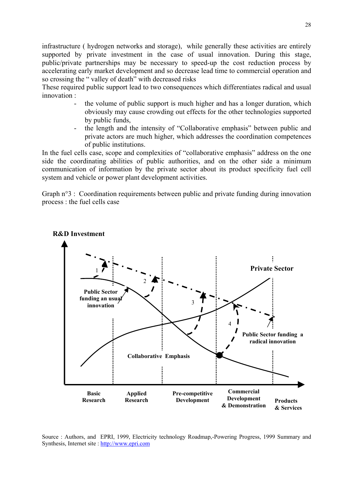infrastructure ( hydrogen networks and storage), while generally these activities are entirely supported by private investment in the case of usual innovation. During this stage, public/private partnerships may be necessary to speed-up the cost reduction process by accelerating early market development and so decrease lead time to commercial operation and so crossing the " valley of death" with decreased risks

These required public support lead to two consequences which differentiates radical and usual innovation :

- the volume of public support is much higher and has a longer duration, which obviously may cause crowding out effects for the other technologies supported by public funds,
- the length and the intensity of "Collaborative emphasis" between public and private actors are much higher, which addresses the coordination competences of public institutions.

In the fuel cells case, scope and complexities of "collaborative emphasis" address on the one side the coordinating abilities of public authorities, and on the other side a minimum communication of information by the private sector about its product specificity fuel cell system and vehicle or power plant development activities.

Graph n°3 : Coordination requirements between public and private funding during innovation process : the fuel cells case



**R&D Investment**

Source : Authors, and EPRI, 1999, Electricity technology Roadmap,-Powering Progress, 1999 Summary and Synthesis, Internet site : [http://www.epri.com](http://www.epri.com/)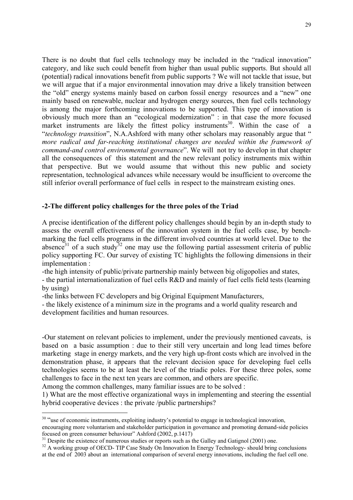There is no doubt that fuel cells technology may be included in the "radical innovation" category, and like such could benefit from higher than usual public supports. But should all (potential) radical innovations benefit from public supports ? We will not tackle that issue, but we will argue that if a major environmental innovation may drive a likely transition between the "old" energy systems mainly based on carbon fossil energy resources and a "new" one mainly based on renewable, nuclear and hydrogen energy sources, then fuel cells technology is among the major forthcoming innovations to be supported. This type of innovation is obviously much more than an "ecological modernization" : in that case the more focused market instruments are likely the fittest policy instruments<sup>30</sup>. Within the case of a "*technology transition*", N.A.Ashford with many other scholars may reasonably argue that " *more radical and far-reaching institutional changes are needed within the framework of command-and control environmental governance*". We will not try to develop in that chapter all the consequences of this statement and the new relevant policy instruments mix within that perspective. But we would assume that without this new public and society representation, technological advances while necessary would be insufficient to overcome the still inferior overall performance of fuel cells in respect to the mainstream existing ones.

### **-2-The different policy challenges for the three poles of the Triad**

A precise identification of the different policy challenges should begin by an in-depth study to assess the overall effectiveness of the innovation system in the fuel cells case, by benchmarking the fuel cells programs in the different involved countries at world level. Due to the absence<sup>31</sup> of a such study<sup>32</sup> one may use the following partial assessment criteria of public policy supporting FC. Our survey of existing TC highlights the following dimensions in their implementation :

-the high intensity of public/private partnership mainly between big oligopolies and states,

- the partial internationalization of fuel cells R&D and mainly of fuel cells field tests (learning by using)

-the links between FC developers and big Original Equipment Manufacturers,

- the likely existence of a minimum size in the programs and a world quality research and development facilities and human resources.

-Our statement on relevant policies to implement, under the previously mentioned caveats, is based on a basic assumption : due to their still very uncertain and long lead times before marketing stage in energy markets, and the very high up-front costs which are involved in the demonstration phase, it appears that the relevant decision space for developing fuel cells technologies seems to be at least the level of the triadic poles. For these three poles, some challenges to face in the next ten years are common, and others are specific.

Among the common challenges, many familiar issues are to be solved :

-

1) What are the most effective organizational ways in implementing and steering the essential hybrid cooperative devices : the private /public partnerships?

<span id="page-28-0"></span><sup>&</sup>lt;sup>30</sup> "use of economic instruments, exploiting industry's potential to engage in technological innovation,

encouraging more voluntarism and stakeholder participation in governance and promoting demand-side policies focused on green consumer behaviour" Ashford (2002, p.1417)

<span id="page-28-2"></span><span id="page-28-1"></span>

<sup>&</sup>lt;sup>31</sup> Despite the existence of numerous studies or reports such as the Galley and Gatignol (2001) one.<br><sup>32</sup> A working group of OECD- TIP Case Study On Innovation In Energy Technology- should bring conclusions at the end of 2003 about an international comparison of several energy innovations, including the fuel cell one.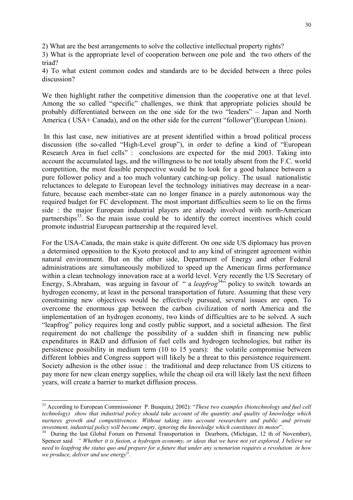2) What are the best arrangements to solve the collective intellectual property rights?

3) What is the appropriate level of cooperation between one pole and the two others of the triad?

4) To what extent common codes and standards are to be decided between a three poles discussion?

We then highlight rather the competitive dimension than the cooperative one at that level. Among the so called "specific" challenges, we think that appropriate policies should be probably differentiated between on the one side for the two "leaders" – Japan and North America ( USA+ Canada), and on the other side for the current "follower"(European Union).

 In this last case, new initiatives are at present identified within a broad political process discussion (the so-called "High-Level group"), in order to define a kind of "European Research Area in fuel cells" : conclusions are expected for the mid 2003. Taking into account the accumulated lags, and the willingness to be not totally absent from the F.C. world competition, the most feasible perspective would be to look for a good balance between a pure follower policy and a too much voluntary catching-up policy. The usual nationalistic reluctances to delegate to European level the technology initiatives may decrease in a nearfuture, because each member-state can no longer finance in a purely autonomous way the required budget for FC development. The most important difficulties seem to lie on the firms side : the major European industrial players are already involved with north-American partnerships $33$ . So the main issue could be to identify the correct incentives which could promote industrial European partnership at the required level.

For the USA-Canada, the main stake is quite different. On one side US diplomacy has proven a determined opposition to the Kyoto protocol and to any kind of stringent agreement within natural environment. But on the other side, Department of Energy and other Federal administrations are simultaneously mobilized to speed up the American firms performance within a clean technology innovation race at a world level. Very recently the US Secretary of Energy, S.Abraham, was arguing in favour of "a *leapfrog*<sup>[34"](#page-29-1)</sup> policy to switch towards an hydrogen economy, at least in the personal transportation of future. Assuming that these very constraining new objectives would be effectively pursued, several issues are open. To overcome the enormous gap between the carbon civilization of north America and the implementation of an hydrogen economy, two kinds of difficulties are to be solved. A such "leapfrog" policy requires long and costly public support, and a societal adhesion. The first requirement do not challenge the possibility of a sudden shift in financing new public expenditures in R&D and diffusion of fuel cells and hydrogen technologies, but rather its persistence possibility in medium term (10 to 15 years): the volatile compromise between different lobbies and Congress support will likely be a threat to this persistence requirement. Society adhesion is the other issue : the traditional and deep reluctance from US citizens to pay more for new clean energy supplies, while the cheap oil era will likely last the next fifteen years, will create a barrier to market diffusion process.

<span id="page-29-0"></span><sup>33</sup> According to European Commisssioner P. Busquin,( 2002): "*These two examples (biotechnology and fuel cell technology) show that industrial policy should take account of the quantity and quality of knowledge which nurtures growth and competitiveness. Without taking into account researchers and public and private investment, industrial policy will become empty, ignoring the knowledge which constitutes its motor*".<br><sup>34</sup> During the last Global Forum on Personal Transportation in Dearborn, (Michigan, 12 th of November),

<span id="page-29-1"></span>Spencer said *" Whether it is fusion, a hydrogen economy, or ideas that we have not yet explored, I believe we need to leapfrog the status quo and prepare for a future that under any scnenarion requires a revolution in how we produce, deliver and use energy*".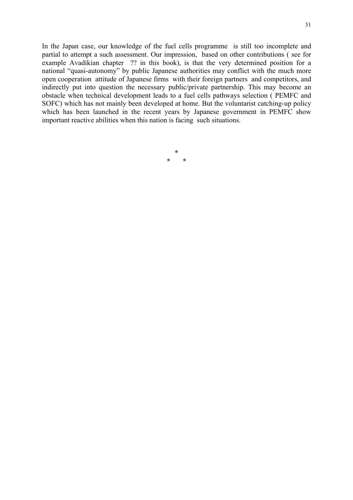In the Japan case, our knowledge of the fuel cells programme is still too incomplete and partial to attempt a such assessment. Our impression, based on other contributions ( see for example Avadikian chapter ?? in this book), is that the very determined position for a national "quasi-autonomy" by public Japanese authorities may conflict with the much more open cooperation attitude of Japanese firms with their foreign partners and competitors, and indirectly put into question the necessary public/private partnership. This may become an obstacle when technical development leads to a fuel cells pathways selection ( PEMFC and SOFC) which has not mainly been developed at home. But the voluntarist catching-up policy which has been launched in the recent years by Japanese government in PEMFC show important reactive abilities when this nation is facing such situations.

> **\* \* \***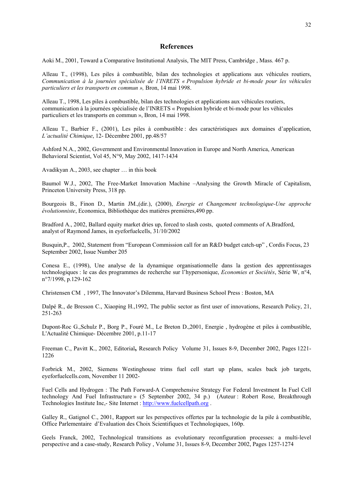#### **References**

Aoki M., 2001, Toward a Comparative Institutional Analysis, The MIT Press, Cambridge , Mass. 467 p.

Alleau T., (1998), Les piles à combustible, bilan des technologies et applications aux véhicules routiers, *Communication à la journées spécialisée de l'INRETS « Propulsion hybride et bi-mode pour les véhicules particuliers et les transports en commun »,* Bron, 14 mai 1998.

Alleau T., 1998, Les piles à combustible, bilan des technologies et applications aux véhicules routiers, communication à la journées spécialisée de l'INRETS « Propulsion hybride et bi-mode pour les véhicules particuliers et les transports en commun », Bron, 14 mai 1998.

Alleau T., Barbier F., (2001), Les piles à combustible : des caractéristiques aux domaines d'application, *L'actualité Chimique*, 12- Décembre 2001, pp.48/57

Ashford N.A., 2002, Government and Environmental Innovation in Europe and North America, American Behavioral Scientist, Vol 45, N°9, May 2002, 1417-1434

Avadikyan A., 2003, see chapter … in this book

Baumol W.J., 2002, The Free-Market Innovation Machine –Analysing the Growth Miracle of Capitalism, Princeton University Press, 318 pp.

Bourgeois B., Finon D., Martin JM.,(dir.), (2000), *Energie et Changement technologique-Une approche évolutionniste*, Economica, Bibliothèque des matières premières,490 pp.

Bradford A., 2002, Ballard equity market dries up, forced to slash costs, quoted comments of A.Bradford, analyst of Raymond James, in eyeforfuelcells, 31/10/2002

Busquin,P., 2002, Statement from "European Commission call for an R&D budget catch-up" , Cordis Focus, 23 September 2002, Issue Number 205

Conesa E., (1998), Une analyse de la dynamique organisationnelle dans la gestion des apprentissages technologiques : le cas des programmes de recherche sur l'hypersonique, *Economies et Sociétés*, Série W, n°4, n°7/1998, p.129-162

Christensen CM , 1997, The Innovator's Dilemma, Harvard Business School Press : Boston, MA

Dalpé R., de Bresson C., Xiaoping H.,1992, The public sector as first user of innovations, Research Policy, 21, 251-263

Dupont-Roc G.,Schulz P., Borg P., Fouré M., Le Breton D.,2001, Energie , hydrogène et piles à combustible, L'Actualité Chimique- Décembre 2001, p.11-17

Freeman C., Pavitt K., 2002, Editorial**,** Research Policy Volume 31, Issues 8-9, December 2002, Pages 1221- 1226

Forbrick M., 2002, Siemens Westinghouse trims fuel cell start up plans, scales back job targets, eyeforfuelcells.com, November 11 2002-

Fuel Cells and Hydrogen : The Path Forward-A Comprehensive Strategy For Federal Investment In Fuel Cell technology And Fuel Infrastructure » (5 September 2002, 34 p.) (Auteur : Robert Rose, Breakthrough Technologies Institute Inc,- Site Internet : [http://www.fuelcellpath.org](http://www.fuelcellpath.org/) .

Galley R., Gatignol C., 2001, Rapport sur les perspectives offertes par la technologie de la pile à combustible, Office Parlementaire d'Evaluation des Choix Scientifiques et Technologiques, 160p.

Geels Franck, 2002, Technological transitions as evolutionary reconfiguration processes: a multi-level perspective and a case-study, Research Policy , Volume 31, Issues 8-9, December 2002, Pages 1257-1274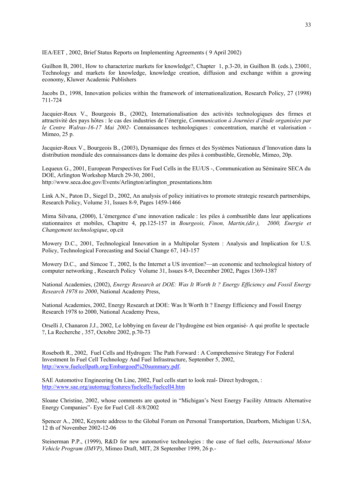IEA/EET , 2002, Brief Status Reports on Implementing Agreements ( 9 April 2002)

Guilhon B, 2001, How to characterize markets for knowledge?, Chapter 1, p.3-20, in Guilhon B. (eds.), 23001, Technology and markets for knowledge, knowledge creation, diffusion and exchange within a growing economy, Kluwer Academic Publishers

Jacobs D., 1998, Innovation policies within the framework of internationalization, Research Policy, 27 (1998) 711-724

Jacquier-Roux V., Bourgeois B., (2002), Internationalisation des activités technologiques des firmes et attractivité des pays hôtes : le cas des industries de l'énergie, *Communication à Journées d'étude organisées par le Centre Walras-16-17 Mai 2002*- Connaissances technologiques : concentration, marché et valorisation - Mimeo, 25 p.

Jacquier-Roux V., Bourgeois B., (2003), Dynamique des firmes et des Systèmes Nationaux d'Innovation dans la distribution mondiale des connaissances dans le domaine des piles à combustible, Grenoble, Mimeo, 20p.

Lequeux G., 2001, European Perspectives for Fuel Cells in the EU/US -, Communication au Séminaire SECA du DOE, Arlington Workshop March 29-30, 2001, http://www.seca.doe.gov/Events/Arlington/arlington\_presentations.htm

Link A.N., Paton D., Siegel D., 2002, An analysis of policy initiatives to promote strategic research partnerships, Research Policy, Volume 31, Issues 8-9, Pages 1459-1466

Mima Silvana, (2000), L'émergence d'une innovation radicale : les piles à combustible dans leur applications stationnaires et mobiles, Chapitre 4, pp.125-157 in *Bourgeois, Finon, Martin,(dir.), 2000, Energie et Changement technologique*, op.cit

Mowery D.C., 2001, Technological Innovation in a Multipolar System : Analysis and Implication for U.S. Policy, Technological Forecasting and Social Change 67, 143-157

Mowery D.C., and Simcoe T., 2002, Is the Internet a US invention?––an economic and technological history of computer networking , Research Policy Volume 31, Issues 8-9, December 2002, Pages 1369-1387

National Academies, (2002), *Energy Research at DOE: Was It Worth It ? Energy Efficiency and Fossil Energy Research 1978 to 2000*, National Academy Press,

National Academies, 2002, Energy Research at DOE: Was It Worth It ? Energy Efficiency and Fossil Energy Research 1978 to 2000, National Academy Press,

Orselli J, Chanaron J.J., 2002, Le lobbying en faveur de l'hydrogène est bien organisé- A qui profite le spectacle ?, La Recherche , 357, Octobre 2002, p.70-73

Roseboth R., 2002, Fuel Cells and Hydrogen: The Path Forward : A Comprehensive Strategy For Federal Investment In Fuel Cell Technology And Fuel Infrastructure, September 5, 2002, [http://www.fuelcellpath.org/Embargoed%20summary.pdf](http://www.fuelcellpath.org/Embargoed summary.pdf).

SAE Automotive Engineering On Line, 2002, Fuel cells start to look real- Direct hydrogen, : <http://www.sae.org/automag/features/fuelcells/fuelcell4.htm>

Sloane Christine, 2002, whose comments are quoted in "Michigan's Next Energy Facility Attracts Alternative Energy Companies"- Eye for Fuel Cell -8/8/2002

Spencer A., 2002, Keynote address to the Global Forum on Personal Transportation, Dearborn, Michigan U.SA, 12 th of November 2002-12-06

Steinerman P.P., (1999), R&D for new automotive technologies : the case of fuel cells, *International Motor Vehicle Program (IMVP)*, Mimeo Draft, MIT, 28 September 1999, 26 p.-